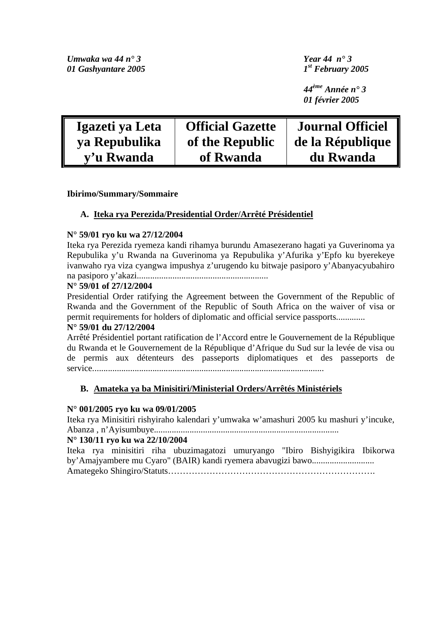*Umwaka wa 44 n° 3 Year 44 n° 3 01 Gashyantare 2005 1st February 2005* 

*44ème Année n° 3 01 février 2005* 

| Igazeti ya Leta | <b>Official Gazette</b> | <b>Journal Officiel</b> |
|-----------------|-------------------------|-------------------------|
| ya Repubulika   | of the Republic         | de la République        |
| v'u Rwanda      | of Rwanda               | du Rwanda               |

**Ibirimo/Summary/Sommaire** 

### **A. Iteka rya Perezida/Presidential Order/Arrêté Présidentiel**

### **N° 59/01 ryo ku wa 27/12/2004**

Iteka rya Perezida ryemeza kandi rihamya burundu Amasezerano hagati ya Guverinoma ya Repubulika y'u Rwanda na Guverinoma ya Repubulika y'Afurika y'Epfo ku byerekeye ivanwaho rya viza cyangwa impushya z'urugendo ku bitwaje pasiporo y'Abanyacyubahiro na pasiporo y'akazi...........................................................

### **N° 59/01 of 27/12/2004**

Presidential Order ratifying the Agreement between the Government of the Republic of Rwanda and the Government of the Republic of South Africa on the waiver of visa or permit requirements for holders of diplomatic and official service passports.............

### **N° 59/01 du 27/12/2004**

Arrêté Présidentiel portant ratification de l'Accord entre le Gouvernement de la République du Rwanda et le Gouvernement de la République d'Afrique du Sud sur la levée de visa ou de permis aux détenteurs des passeports diplomatiques et des passeports de service........................................................................................................

## **B. Amateka ya ba Minisitiri/Ministerial Orders/Arrêtés Ministériels**

### **N° 001/2005 ryo ku wa 09/01/2005**

Iteka rya Minisitiri rishyiraho kalendari y'umwaka w'amashuri 2005 ku mashuri y'incuke, Abanza , n'Ayisumbuye...................................................................................

### **N° 130/11 ryo ku wa 22/10/2004**

Iteka rya minisitiri riha ubuzimagatozi umuryango "Ibiro Bishyigikira Ibikorwa by'Amajyambere mu Cyaro" (BAIR) kandi ryemera abavugizi bawo............................ Amategeko Shingiro/Statuts…………………………………………………………….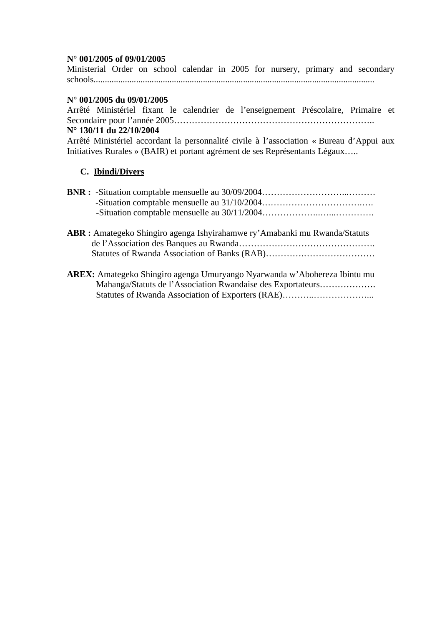### **N° 001/2005 of 09/01/2005**

Ministerial Order on school calendar in 2005 for nursery, primary and secondary schools..............................................................................................................................

### **N° 001/2005 du 09/01/2005**

Arrêté Ministériel fixant le calendrier de l'enseignement Préscolaire, Primaire et Secondaire pour l'année 2005…………………………………………………………..

### **N° 130/11 du 22/10/2004**

Arrêté Ministériel accordant la personnalité civile à l'association « Bureau d'Appui aux Initiatives Rurales » (BAIR) et portant agrément de ses Représentants Légaux…..

### **C. Ibindi/Divers**

- **ABR :** Amategeko Shingiro agenga Ishyirahamwe ry'Amabanki mu Rwanda/Statuts de l'Association des Banques au Rwanda………………………………………. Statutes of Rwanda Association of Banks (RAB)………….……………………
- **AREX:** Amategeko Shingiro agenga Umuryango Nyarwanda w'Abohereza Ibintu mu Mahanga/Statuts de l'Association Rwandaise des Exportateurs………………. Statutes of Rwanda Association of Exporters (RAE)................................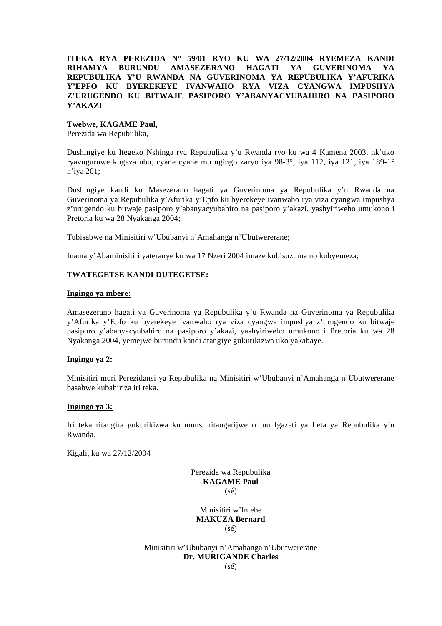### **ITEKA RYA PEREZIDA N° 59/01 RYO KU WA 27/12/2004 RYEMEZA KANDI RIHAMYA BURUNDU AMASEZERANO HAGATI YA GUVERINOMA YA REPUBULIKA Y'U RWANDA NA GUVERINOMA YA REPUBULIKA Y'AFURIKA Y'EPFO KU BYEREKEYE IVANWAHO RYA VIZA CYANGWA IMPUSHYA Z'URUGENDO KU BITWAJE PASIPORO Y'ABANYACYUBAHIRO NA PASIPORO Y'AKAZI**

#### **Twebwe, KAGAME Paul,**

Perezida wa Repubulika,

Dushingiye ku Itegeko Nshinga rya Repubulika y'u Rwanda ryo ku wa 4 Kamena 2003, nk'uko ryavuguruwe kugeza ubu, cyane cyane mu ngingo zaryo iya 98-3°, iya 112, iya 121, iya 189-1° n'iya 201;

Dushingiye kandi ku Masezerano hagati ya Guverinoma ya Repubulika y'u Rwanda na Guverinoma ya Repubulika y'Afurika y'Epfo ku byerekeye ivanwaho rya viza cyangwa impushya z'urugendo ku bitwaje pasiporo y'abanyacyubahiro na pasiporo y'akazi, yashyiriweho umukono i Pretoria ku wa 28 Nyakanga 2004;

Tubisabwe na Minisitiri w'Ububanyi n'Amahanga n'Ubutwererane;

Inama y'Abaminisitiri yateranye ku wa 17 Nzeri 2004 imaze kubisuzuma no kubyemeza;

### **TWATEGETSE KANDI DUTEGETSE:**

#### **Ingingo ya mbere:**

Amasezerano hagati ya Guverinoma ya Repubulika y'u Rwanda na Guverinoma ya Repubulika y'Afurika y'Epfo ku byerekeye ivanwaho rya viza cyangwa impushya z'urugendo ku bitwaje pasiporo y'abanyacyubahiro na pasiporo y'akazi, yashyiriweho umukono i Pretoria ku wa 28 Nyakanga 2004, yemejwe burundu kandi atangiye gukurikizwa uko yakabaye.

#### **Ingingo ya 2:**

Minisitiri muri Perezidansi ya Repubulika na Minisitiri w'Ububanyi n'Amahanga n'Ubutwererane basabwe kubahiriza iri teka.

#### **Ingingo ya 3:**

Iri teka ritangira gukurikizwa ku munsi ritangarijweho mu Igazeti ya Leta ya Repubulika y'u Rwanda.

Kigali, ku wa 27/12/2004

Perezida wa Repubulika **KAGAME Paul**  (sé)

Minisitiri w'Intebe **MAKUZA Bernard**   $(s<sub>é</sub>)$ 

Minisitiri w'Ububanyi n'Amahanga n'Ubutwererane **Dr. MURIGANDE Charles**   $(sé)$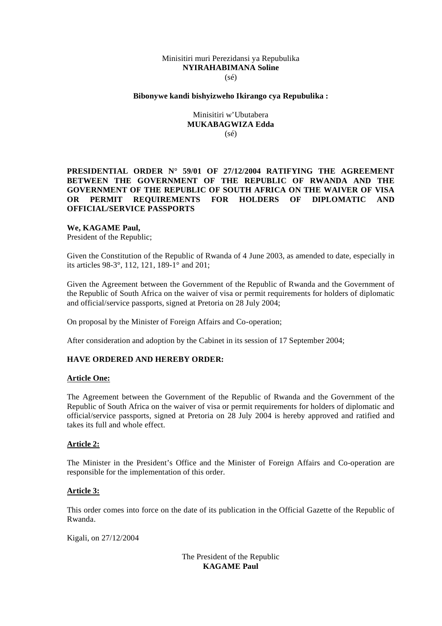#### Minisitiri muri Perezidansi ya Repubulika **NYIRAHABIMANA Soline**  (sé)

#### **Bibonywe kandi bishyizweho Ikirango cya Repubulika :**

Minisitiri w'Ubutabera **MUKABAGWIZA Edda**   $(sé)$ 

### **PRESIDENTIAL ORDER N° 59/01 OF 27/12/2004 RATIFYING THE AGREEMENT BETWEEN THE GOVERNMENT OF THE REPUBLIC OF RWANDA AND THE GOVERNMENT OF THE REPUBLIC OF SOUTH AFRICA ON THE WAIVER OF VISA OR PERMIT REQUIREMENTS FOR HOLDERS OF DIPLOMATIC AND OFFICIAL/SERVICE PASSPORTS**

#### **We, KAGAME Paul,**

President of the Republic;

Given the Constitution of the Republic of Rwanda of 4 June 2003, as amended to date, especially in its articles 98-3°, 112, 121, 189-1° and 201;

Given the Agreement between the Government of the Republic of Rwanda and the Government of the Republic of South Africa on the waiver of visa or permit requirements for holders of diplomatic and official/service passports, signed at Pretoria on 28 July 2004;

On proposal by the Minister of Foreign Affairs and Co-operation;

After consideration and adoption by the Cabinet in its session of 17 September 2004;

#### **HAVE ORDERED AND HEREBY ORDER:**

#### **Article One:**

The Agreement between the Government of the Republic of Rwanda and the Government of the Republic of South Africa on the waiver of visa or permit requirements for holders of diplomatic and official/service passports, signed at Pretoria on 28 July 2004 is hereby approved and ratified and takes its full and whole effect.

#### **Article 2:**

The Minister in the President's Office and the Minister of Foreign Affairs and Co-operation are responsible for the implementation of this order.

#### **Article 3:**

This order comes into force on the date of its publication in the Official Gazette of the Republic of Rwanda.

Kigali, on 27/12/2004

The President of the Republic **KAGAME Paul**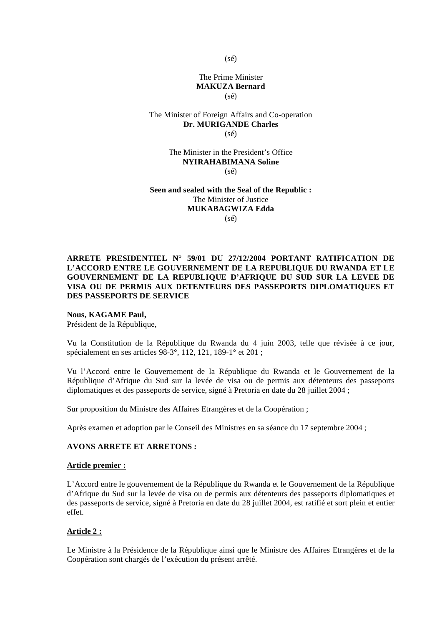(sé)

### The Prime Minister **MAKUZA Bernard**  (sé)

#### The Minister of Foreign Affairs and Co-operation **Dr. MURIGANDE Charles**   $(sé)$

#### The Minister in the President's Office **NYIRAHABIMANA Soline**   $(sé)$

#### **Seen and sealed with the Seal of the Republic :**  The Minister of Justice **MUKABAGWIZA Edda**   $(sé)$

### **ARRETE PRESIDENTIEL N° 59/01 DU 27/12/2004 PORTANT RATIFICATION DE L'ACCORD ENTRE LE GOUVERNEMENT DE LA REPUBLIQUE DU RWANDA ET LE GOUVERNEMENT DE LA REPUBLIQUE D'AFRIQUE DU SUD SUR LA LEVEE DE VISA OU DE PERMIS AUX DETENTEURS DES PASSEPORTS DIPLOMATIQUES ET DES PASSEPORTS DE SERVICE**

#### **Nous, KAGAME Paul,**

Président de la République,

Vu la Constitution de la République du Rwanda du 4 juin 2003, telle que révisée à ce jour, spécialement en ses articles 98-3°, 112, 121, 189-1° et 201 ;

Vu l'Accord entre le Gouvernement de la République du Rwanda et le Gouvernement de la République d'Afrique du Sud sur la levée de visa ou de permis aux détenteurs des passeports diplomatiques et des passeports de service, signé à Pretoria en date du 28 juillet 2004 ;

Sur proposition du Ministre des Affaires Etrangères et de la Coopération ;

Après examen et adoption par le Conseil des Ministres en sa séance du 17 septembre 2004 ;

### **AVONS ARRETE ET ARRETONS :**

#### **Article premier :**

L'Accord entre le gouvernement de la République du Rwanda et le Gouvernement de la République d'Afrique du Sud sur la levée de visa ou de permis aux détenteurs des passeports diplomatiques et des passeports de service, signé à Pretoria en date du 28 juillet 2004, est ratifié et sort plein et entier effet.

### **Article 2 :**

Le Ministre à la Présidence de la République ainsi que le Ministre des Affaires Etrangères et de la Coopération sont chargés de l'exécution du présent arrêté.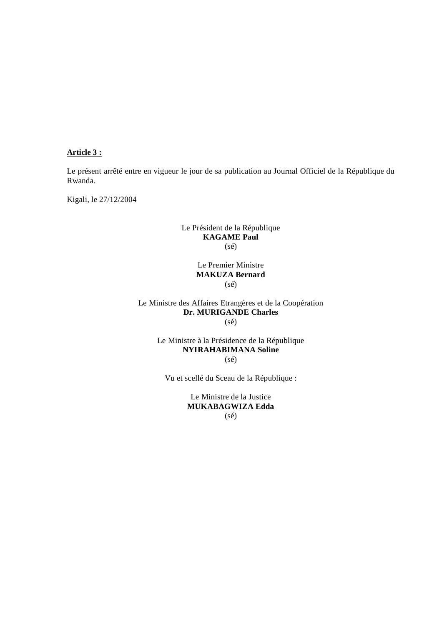### **Article 3 :**

Le présent arrêté entre en vigueur le jour de sa publication au Journal Officiel de la République du Rwanda.

Kigali, le 27/12/2004

### Le Président de la République **KAGAME Paul**  (sé)

Le Premier Ministre **MAKUZA Bernard**  (sé)

### Le Ministre des Affaires Etrangères et de la Coopération **Dr. MURIGANDE Charles**   $(s\acute{e})$

### Le Ministre à la Présidence de la République **NYIRAHABIMANA Soline**  (sé)

Vu et scellé du Sceau de la République :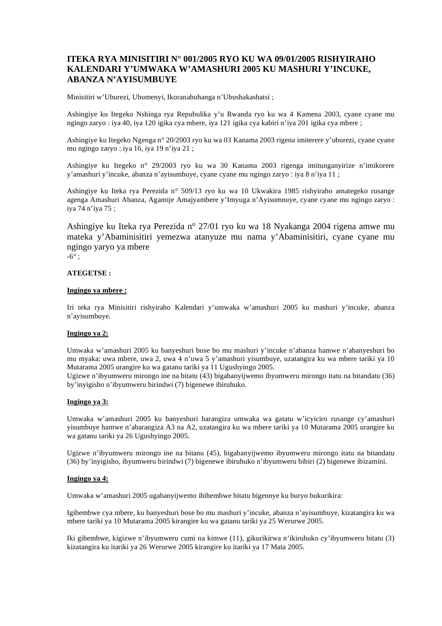### **ITEKA RYA MINISITIRI N° 001/2005 RYO KU WA 09/01/2005 RISHYIRAHO KALENDARI Y'UMWAKA W'AMASHURI 2005 KU MASHURI Y'INCUKE, ABANZA N'AYISUMBUYE**

Minisitiri w'Uburezi, Ubumenyi, Ikoranabuhanga n'Ubushakashatsi ;

Ashingiye ku Itegeko Nshinga rya Repubulika y'u Rwanda ryo ku wa 4 Kamena 2003, cyane cyane mu ngingo zaryo : iya 40, iya 120 igika cya mbere, iya 121 igika cya kabiri n'iya 201 igika cya mbere ;

Ashingiye ku Itegeko Ngenga n° 20/2003 ryo ku wa 03 Kanama 2003 rigena imiterere y'uburezi, cyane cyane mu ngingo zaryo : iya 16, iya 19 n'iya 21 ;

Ashingiye ku Itegeko n° 29/2003 ryo ku wa 30 Kanama 2003 rigenga imitunganyirize n'imikorere y'amashuri y'incuke, abanza n'ayisumbuye, cyane cyane mu ngingo zaryo : iya 8 n'iya 11 ;

Ashingiye ku Iteka rya Perezida n° 509/13 ryo ku wa 10 Ukwakira 1985 rishyiraho amategeko rusange agenga Amashuri Abanza, Agamije Amajyambere y'Imyuga n'Ayisumnuye, cyane cyane mu ngingo zaryo : iya 74 n'iya 75 ;

Ashingiye ku Iteka rya Perezida n° 27/01 ryo ku wa 18 Nyakanga 2004 rigena amwe mu mateka y'Abaminisitiri yemezwa atanyuze mu nama y'Abaminisitiri, cyane cyane mu ngingo yaryo ya mbere

 $-6^\circ$ ;

#### **ATEGETSE :**

#### **Ingingo ya mbere :**

Iri teka rya Minisitiri rishyiraho Kalendari y'umwaka w'amashuri 2005 ku mashuri y'incuke, abanza n'ayisumbuye.

#### **Ingingo ya 2:**

Umwaka w'amashuri 2005 ku banyeshuri bose bo mu mashuri y'incuke n'abanza hamwe n'abanyeshuri bo mu myaka: uwa mbere, uwa 2, uwa 4 n'uwa 5 y'amashuri yisumbuye, uzatangira ku wa mbere tariki ya 10 Mutarama 2005 urangire ku wa gatanu tariki ya 11 Ugushyingo 2005.

Ugizwe n'ibyumweru mirongo ine na bitatu (43) bigabanyijwemo ibyumweru mirongo itatu na bitandatu (36) by'inyigisho n'ibyumweru birindwi (7) bigenewe ibiruhuko.

#### **Ingingo ya 3:**

Umwaka w'amashuri 2005 ku banyeshuri barangiza umwaka wa gatatu w'icyiciro rusange cy'amashuri yisumbuye hamwe n'abarangiza A3 na A2, uzatangira ku wa mbere tariki ya 10 Mutarama 2005 urangire ku wa gatanu tariki ya 26 Ugushyingo 2005.

Ugizwe n'ibyumweru mirongo ine na bitanu (45), bigabanyijwemo ibyumweru mirongo itatu na bitandatu (36) by'inyigisho, ibyumweru birindwi (7) bigenewe ibiruhuko n'ibyumweru bibiri (2) bigenewe ibizamini.

#### **Ingingo ya 4:**

Umwaka w'amashuri 2005 ugabanyijwemo ibihembwe bitatu bigennye ku buryo bukurikira:

Igihembwe cya mbere, ku banyeshuri bose bo mu mashuri y'incuke, abanza n'ayisumbuye, kizatangira ku wa mbere tariki ya 10 Mutarama 2005 kirangire ku wa gatanu tariki ya 25 Werurwe 2005.

Iki gihembwe, kigizwe n'ibyumweru cumi na kimwe (11), gikurikirwa n'ikiruhuko cy'ibyumweru bitatu (3) kizatangira ku itariki ya 26 Werurwe 2005 kirangire ku itariki ya 17 Mata 2005.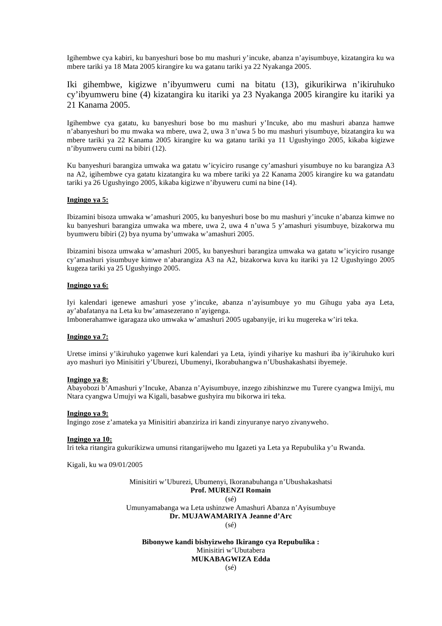Igihembwe cya kabiri, ku banyeshuri bose bo mu mashuri y'incuke, abanza n'ayisumbuye, kizatangira ku wa mbere tariki ya 18 Mata 2005 kirangire ku wa gatanu tariki ya 22 Nyakanga 2005.

Iki gihembwe, kigizwe n'ibyumweru cumi na bitatu (13), gikurikirwa n'ikiruhuko cy'ibyumweru bine (4) kizatangira ku itariki ya 23 Nyakanga 2005 kirangire ku itariki ya 21 Kanama 2005.

Igihembwe cya gatatu, ku banyeshuri bose bo mu mashuri y'Incuke, abo mu mashuri abanza hamwe n'abanyeshuri bo mu mwaka wa mbere, uwa 2, uwa 3 n'uwa 5 bo mu mashuri yisumbuye, bizatangira ku wa mbere tariki ya 22 Kanama 2005 kirangire ku wa gatanu tariki ya 11 Ugushyingo 2005, kikaba kigizwe n'ibyumweru cumi na bibiri (12).

Ku banyeshuri barangiza umwaka wa gatatu w'icyiciro rusange cy'amashuri yisumbuye no ku barangiza A3 na A2, igihembwe cya gatatu kizatangira ku wa mbere tariki ya 22 Kanama 2005 kirangire ku wa gatandatu tariki ya 26 Ugushyingo 2005, kikaba kigizwe n'ibyuweru cumi na bine (14).

#### **Ingingo ya 5:**

Ibizamini bisoza umwaka w'amashuri 2005, ku banyeshuri bose bo mu mashuri y'incuke n'abanza kimwe no ku banyeshuri barangiza umwaka wa mbere, uwa 2, uwa 4 n'uwa 5 y'amashuri yisumbuye, bizakorwa mu byumweru bibiri (2) bya nyuma by'umwaka w'amashuri 2005.

Ibizamini bisoza umwaka w'amashuri 2005, ku banyeshuri barangiza umwaka wa gatatu w'icyiciro rusange cy'amashuri yisumbuye kimwe n'abarangiza A3 na A2, bizakorwa kuva ku itariki ya 12 Ugushyingo 2005 kugeza tariki ya 25 Ugushyingo 2005.

#### **Ingingo ya 6:**

Iyi kalendari igenewe amashuri yose y'incuke, abanza n'ayisumbuye yo mu Gihugu yaba aya Leta, ay'abafatanya na Leta ku bw'amasezerano n'ayigenga.

Imbonerahamwe igaragaza uko umwaka w'amashuri 2005 ugabanyije, iri ku mugereka w'iri teka.

### **Ingingo ya 7:**

Uretse iminsi y'ikiruhuko yagenwe kuri kalendari ya Leta, iyindi yihariye ku mashuri iba iy'ikiruhuko kuri ayo mashuri iyo Minisitiri y'Uburezi, Ubumenyi, Ikorabuhangwa n'Ubushakashatsi ibyemeje.

#### **Ingingo ya 8:**

Abayobozi b'Amashuri y'Incuke, Abanza n'Ayisumbuye, inzego zibishinzwe mu Turere cyangwa Imijyi, mu Ntara cyangwa Umujyi wa Kigali, basabwe gushyira mu bikorwa iri teka.

#### **Ingingo ya 9:**

Ingingo zose z'amateka ya Minisitiri abanziriza iri kandi zinyuranye naryo zivanyweho.

#### **Ingingo ya 10:**

Iri teka ritangira gukurikizwa umunsi ritangarijweho mu Igazeti ya Leta ya Repubulika y'u Rwanda.

Kigali, ku wa 09/01/2005

Minisitiri w'Uburezi, Ubumenyi, Ikoranabuhanga n'Ubushakashatsi **Prof. MURENZI Romain**  (sé) Umunyamabanga wa Leta ushinzwe Amashuri Abanza n'Ayisumbuye **Dr. MUJAWAMARIYA Jeanne d'Arc** 

 $(sé)$ 

#### **Bibonywe kandi bishyizweho Ikirango cya Repubulika :**  Minisitiri w'Ubutabera **MUKABAGWIZA Edda**   $(s<sub>ef</sub>)$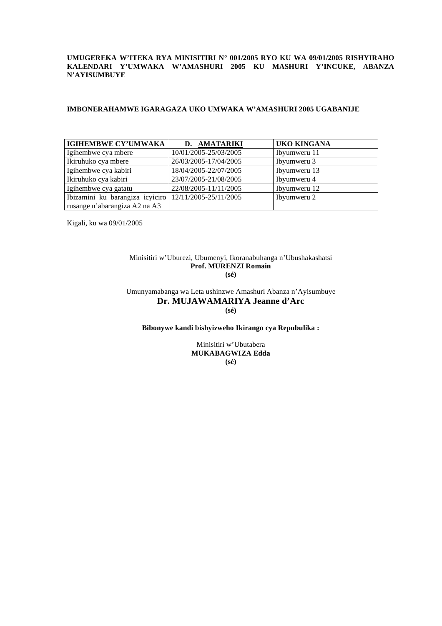#### **UMUGEREKA W'ITEKA RYA MINISITIRI N° 001/2005 RYO KU WA 09/01/2005 RISHYIRAHO KALENDARI Y'UMWAKA W'AMASHURI 2005 KU MASHURI Y'INCUKE, ABANZA N'AYISUMBUYE**

#### **IMBONERAHAMWE IGARAGAZA UKO UMWAKA W'AMASHURI 2005 UGABANIJE**

| <b>IGIHEMBWE CY'UMWAKA</b>                              | D. AMATARIKI          | UKO KINGANA  |
|---------------------------------------------------------|-----------------------|--------------|
| Igihembwe cya mbere                                     | 10/01/2005-25/03/2005 | Ibyumweru 11 |
| Ikiruhuko cya mbere                                     | 26/03/2005-17/04/2005 | Ibyumweru 3  |
| Igihembwe cya kabiri                                    | 18/04/2005-22/07/2005 | Ibyumweru 13 |
| Ikiruhuko cya kabiri                                    | 23/07/2005-21/08/2005 | Ibyumweru 4  |
| Igihembwe cya gatatu                                    | 22/08/2005-11/11/2005 | Ibyumweru 12 |
| Ibizamini ku barangiza icyiciro $12/11/2005-25/11/2005$ |                       | Ibyumweru 2  |
| rusange n'abarangiza A2 na A3                           |                       |              |

Kigali, ku wa 09/01/2005

#### Minisitiri w'Uburezi, Ubumenyi, Ikoranabuhanga n'Ubushakashatsi **Prof. MURENZI Romain (sé)**

Umunyamabanga wa Leta ushinzwe Amashuri Abanza n'Ayisumbuye **Dr. MUJAWAMARIYA Jeanne d'Arc (sé)** 

**Bibonywe kandi bishyizweho Ikirango cya Repubulika :** 

Minisitiri w'Ubutabera **MUKABAGWIZA Edda (sé)**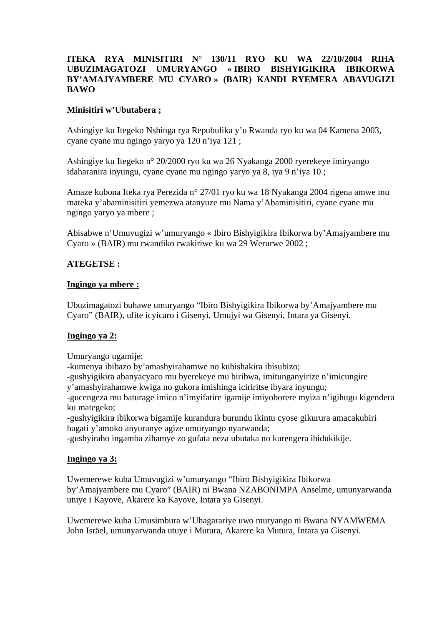### **ITEKA RYA MINISITIRI N° 130/11 RYO KU WA 22/10/2004 RIHA UBUZIMAGATOZI UMURYANGO « IBIRO BISHYIGIKIRA IBIKORWA BY'AMAJYAMBERE MU CYARO » (BAIR) KANDI RYEMERA ABAVUGIZI BAWO**

### **Minisitiri w'Ubutabera ;**

Ashingiye ku Itegeko Nshinga rya Repubulika y'u Rwanda ryo ku wa 04 Kamena 2003, cyane cyane mu ngingo yaryo ya 120 n'iya 121 ;

Ashingiye ku Itegeko n° 20/2000 ryo ku wa 26 Nyakanga 2000 ryerekeye imiryango idaharanira inyungu, cyane cyane mu ngingo yaryo ya 8, iya 9 n'iya 10 ;

Amaze kubona Iteka rya Perezida n° 27/01 ryo ku wa 18 Nyakanga 2004 rigena amwe mu mateka y'abaminisitiri yemezwa atanyuze mu Nama y'Abaminisitiri, cyane cyane mu ngingo yaryo ya mbere ;

Abisabwe n'Umuvugizi w'umuryango « Ibiro Bishyigikira Ibikorwa by'Amajyambere mu Cyaro » (BAIR) mu rwandiko rwakiriwe ku wa 29 Werurwe 2002 ;

### **ATEGETSE :**

### **Ingingo ya mbere :**

Ubuzimagatozi buhawe umuryango "Ibiro Bishyigikira Ibikorwa by'Amajyambere mu Cyaro" (BAIR), ufite icyicaro i Gisenyi, Umujyi wa Gisenyi, Intara ya Gisenyi.

### **Ingingo ya 2:**

Umuryango ugamije:

-kumenya ibibazo by'amashyirahamwe no kubishakira ibisubizo;

-gushyigikira abanyacyaco mu byerekeye mu biribwa, imitunganyirize n'imicungire

y'amashyirahamwe kwiga no gukora imishinga iciriritse ibyara inyungu;

-gucengeza mu baturage imico n'imyifatire igamije imiyoborere myiza n'igihugu kigendera ku mategeko;

-gushyigikira ibikorwa bigamije kurandura burundu ikintu cyose gikurura amacakubiri hagati y'amoko anyuranye agize umuryango nyarwanda;

-gushyiraho ingamba zihamye zo gufata neza ubutaka no kurengera ibidukikije.

### **Ingingo ya 3:**

Uwemerewe kuba Umuvugizi w'umuryango "Ibiro Bishyigikira Ibikorwa by'Amajyambere mu Cyaro" (BAIR) ni Bwana NZABONIMPA Anselme, umunyarwanda utuye i Kayove, Akarere ka Kayove, Intara ya Gisenyi.

Uwemerewe kuba Umusimbura w'Uhagarariye uwo muryango ni Bwana NYAMWEMA John Isräel, umunyarwanda utuye i Mutura, Akarere ka Mutura, Intara ya Gisenyi.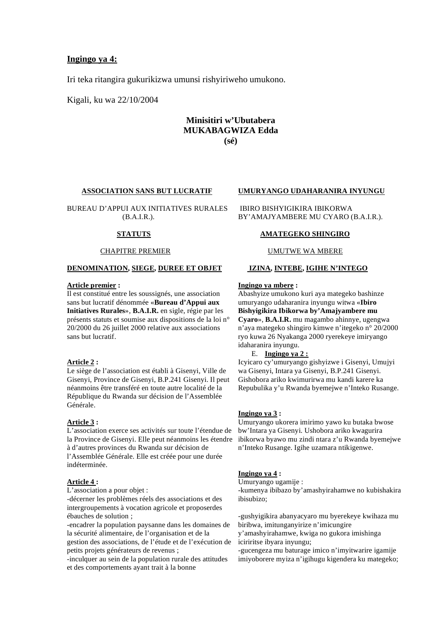### **Ingingo ya 4:**

Iri teka ritangira gukurikizwa umunsi rishyiriweho umukono.

Kigali, ku wa 22/10/2004

### **Minisitiri w'Ubutabera MUKABAGWIZA Edda (sé)**

#### **ASSOCIATION SANS BUT LUCRATIF**

BUREAU D'APPUI AUX INITIATIVES RURALES (B.A.I.R.).

#### **STATUTS**

#### CHAPITRE PREMIER

#### **DENOMINATION, SIEGE, DUREE ET OBJET**

#### **Article premier :**

Il est constitué entre les soussignés, une association sans but lucratif dénommée «**Bureau d'Appui aux Initiatives Rurales**», **B.A.I.R.** en sigle, régie par les présents statuts et soumise aux dispositions de la loi n° 20/2000 du 26 juillet 2000 relative aux associations sans but lucratif.

#### **Article 2 :**

Le siège de l'association est établi à Gisenyi, Ville de Gisenyi, Province de Gisenyi, B.P.241 Gisenyi. Il peut néanmoins être transféré en toute autre localité de la République du Rwanda sur décision de l'Assemblée Générale.

### **Article 3 :**

L'association exerce ses activités sur toute l'étendue de la Province de Gisenyi. Elle peut néanmoins les étendre à d'autres provinces du Rwanda sur décision de l'Assemblée Générale. Elle est créée pour une durée indéterminée.

### **Article 4 :**

L'association a pour objet :

-décerner les problèmes réels des associations et des intergroupements à vocation agricole et proposerdes ébauches de solution ;

-encadrer la population paysanne dans les domaines de la sécurité alimentaire, de l'organisation et de la gestion des associations, de l'étude et de l'exécution de petits projets générateurs de revenus ;

-inculquer au sein de la population rurale des attitudes et des comportements ayant trait à la bonne

#### **UMURYANGO UDAHARANIRA INYUNGU**

 IBIRO BISHYIGIKIRA IBIKORWA BY'AMAJYAMBERE MU CYARO (B.A.I.R.).

#### **AMATEGEKO SHINGIRO**

#### UMUTWE WA MBERE

#### **IZINA, INTEBE, IGIHE N'INTEGO**

#### **Ingingo ya mbere :**

Abashyize umukono kuri aya mategeko bashinze umuryango udaharanira inyungu witwa «**Ibiro Bishyigikira Ibikorwa by'Amajyambere mu Cyaro**», **B.A.I.R.** mu magambo ahinnye, ugengwa n'aya mategeko shingiro kimwe n'itegeko n° 20/2000 ryo kuwa 26 Nyakanga 2000 ryerekeye imiryango idaharanira inyungu.

#### E. **Ingingo ya 2 :**

Icyicaro cy'umuryango gishyizwe i Gisenyi, Umujyi wa Gisenyi, Intara ya Gisenyi, B.P.241 Gisenyi. Gishobora ariko kwimurirwa mu kandi karere ka Repubulika y'u Rwanda byemejwe n'Inteko Rusange.

#### **Ingingo ya 3 :**

Umuryango ukorera imirimo yawo ku butaka bwose bw'Intara ya Gisenyi. Ushobora ariko kwagurira ibikorwa byawo mu zindi ntara z'u Rwanda byemejwe n'Inteko Rusange. Igihe uzamara ntikigenwe.

#### **Ingingo ya 4 :**

Umuryango ugamije : -kumenya ibibazo by'amashyirahamwe no kubishakira ibisubizo;

-gushyigikira abanyacyaro mu byerekeye kwihaza mu biribwa, imitunganyirize n'imicungire y'amashyirahamwe, kwiga no gukora imishinga

iciriritse ibyara inyungu;

-gucengeza mu baturage imico n'imyitwarire igamije imiyoborere myiza n'igihugu kigendera ku mategeko;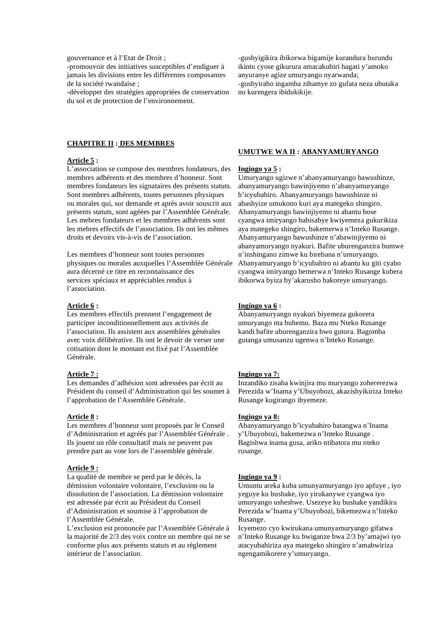#### gouvernance et à l'Etat de Droit ;

-promouvoir des initiatives susceptibles d'endiguer à jamais les divisions entre les différentes composantes de la société rwandaise ;

-développer des stratégies appropriées de conservation du sol et de protection de l'environnement.

#### **CHAPITRE II : DES MEMBRES**

#### **Article 5 :**

L'association se compose des membres fondateurs, des membres adhérents et des membres d'honneur. Sont membres fondateurs les signataires des présents statuts. Sont membres adhérents, toutes personnes physiques ou morales qui, sur demande et après avoir souscrit aux présents statuts, sont agéées par l'Assemblée Générale. Les mebres fondateurs et les membres adhérents sont les mebres effectifs de l'association. Ils ont les mêmes droits et devoirs vis-à-vis de l'association.

Les membres d'honneur sont toutes personnes physiques ou morales auxquelles l'Assemblée Générale aura décerné ce titre en reconnaissance des services spéciaux et appréciables rendus à l'association.

#### **Article 6 :**

Les membres effectifs prennent l'engagement de participer inconditionnellement aux activités de l'association. Ils assistent aux assemblées générales avec voix délibérative. Ils ont le devoir de verser une cotisation dont le montant est fixé par l'Assemblée Générale.

### **Article 7 :**

Les demandes d'adhésion sont adressées par écrit au Président du conseil d'Administration qui les soumet à l'approbation de l'Assemblée Générale.

#### **Article 8 :**

Les membres d'honneur sont proposés par le Conseil d'Administration et agréés par l'Assemblée Générale . Ils jouent un rôle consultatif mais ne peuvent pas prendre part au vote lors de l'assemblée générale.

#### **Article 9 :**

La qualité de membre se perd par le décès, la démission volontaire volontaire, l'exclusion ou la dissolution de l'association. La démission volontaire est adressée par écrit au Président du Conseil d'Administration et soumise à l'approbation de l'Assemblée Générale.

L'exclusion est prononcée par l'Assemblée Générale à la majorité de 2/3 des voix contre un membre qui ne se conforme plus aux présents statuts et au règlement intérieur de l'association.

-gushyigikira ibikorwa bigamije kurandura burundu ikintu cyose gikurura amacakubiri hagati y'amoko anyuranye agize umuryango nyarwanda; -gushyiraho ingamba zihamye zo gufata neza ubutaka no kurengera ibidukikije.

#### **UMUTWE WA II : ABANYAMURYANGO**

#### **Ingingo ya 5 :**

Umuryango ugizwe n'abanyamuryango bawushinze, abanyamuryango bawinjiyemo n'abanyamuryango b'icyubahiro. Abanyamuryango bawushinze ni abashyize umukono kuri aya mategeko shingiro. Abanyamuryango bawinjiyemo ni abantu bose cyangwa imiryango babisabye kwiyemeza gukurikiza aya mategeko shingiro, bakemerwa n'Inteko Rusange. Abanyamuryango bawushinze n'abawinjiyemo ni abanyamuryango nyakuri. Bafite uburenganzira bumwe n'inshingano zimwe ku birebana n'umuryango. Abanyamuryango b'icyubahiro ni abantu ku giti cyabo cyangwa imiryango bemerwa n'Inteko Rusange kubera ibikorwa byiza by'akarusho bakoreye umuryango.

#### **Ingingo ya 6 :**

Abanyamuryango nyakuri biyemeza gukorera umuryango nta buhemu. Baza mu Nteko Rusange kandi bafite uburenganzira bwo gutora. Bagomba gutanga umusanzu ugenwa n'Inteko Rusange.

#### **Ingingo ya 7:**

Inzandiko zisaba kwinjira mu muryango zohererezwa Perezida w'Inama y'Ubuyobozi, akazishyikiriza Inteko Rusange kugirango ibyemeze.

#### **Ingingo ya 8:**

Abanyamuryango b'icyubahiro batangwa n'Inama y'Ubuyobozi, bakemezwa n'Inteko Rusange . Bagishwa inama gusa, ariko ntibatora mu nteko rusange.

#### **Ingingo ya 9 :**

Umuntu areka kuba umunyamuryango iyo apfuye , iyo yeguye ku bushake, iyo yirukanywe cyangwa iyo umuryango usheshwe. Usezeye ku bushake yandikira Perezida w'Inama y'Ubuyobozi, bikemezwa n'Inteko Rusange.

Icyemezo cyo kwirukana umunyamuryango gifatwa n'Inteko Rusange ku bwiganze bwa 2/3 by'amajwi iyo atacyubahiriza aya mategeko shingiro n'amabwiriza ngengamikorere y'umuryango.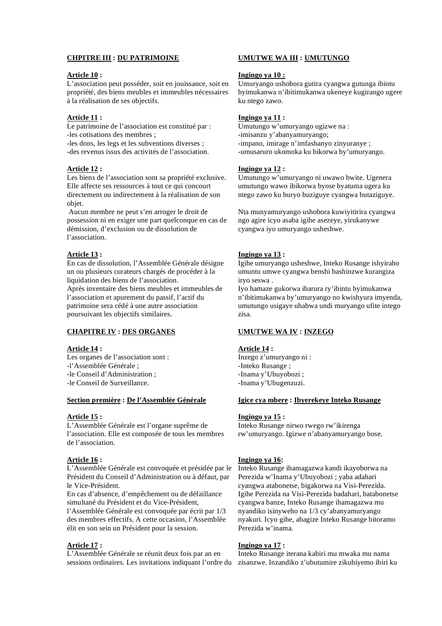### **CHPITRE III : DU PATRIMOINE**

#### **Article 10 :**

L'association peut posséder, soit en jouissance, soit en propriété, des biens meubles et immeubles nécessaires à la réalisation de ses objectifs.

### **Article 11 :**

Le patrimoine de l'association est constitué par : -les cotisations des membres ;

- -les dons, les legs et les subventions diverses ;
- -des revenus issus des activités de l'association.

#### **Article 12 :**

Les biens de l'association sont sa propriété exclusive. Elle affecte ses ressources à tout ce qui concourt directement ou indirectement à la réalisation de son objet.

 Aucun membre ne peut s'en arroger le droit de possession ni en exiger une part quelconque en cas de démission, d'exclusion ou de dissolution de l'association.

#### **Article 13 :**

En cas de dissolution, l'Assemblée Générale désigne un ou plusieurs curateurs chargés de procéder à la liquidation des biens de l'association. Après inventaire des biens meubles et immeubles de l'association et apurement du passif, l'actif du patrimoine sera cédé à une autre association poursuivant les objectifs similaires.

### **CHAPITRE IV : DES ORGANES**

### **Article 14 :**

- Les organes de l'association sont : -l'Assemblée Générale ;
- -le Conseil d'Administration ;
- -le Conseil de Surveillance.

#### **Section première : De l'Assemblée Générale**

#### **Article 15 :**

L'Assemblée Générale est l'organe suprême de l'association. Elle est composée de tous les membres de l'association.

#### **Article 16 :**

L'Assemblée Générale est convoquée et présidée par le Président du Conseil d'Administration ou à défaut, par le Vice-Président.

En cas d'absence, d'empêchement ou de défaillance simultané du Président et du Vice-Président,

l'Assemblée Générale est convoquée par écrit par 1/3 des membres effectifs. A cette occasion, l'Assemblée élit en son sein un Président pour la session.

### **Article 17 :**

L'Assemblée Générale se réunit deux fois par an en sessions ordinaires. Les invitations indiquant l'ordre du

#### **UMUTWE WA III : UMUTUNGO**

#### **Ingingo ya 10 :**

Umuryango ushobora gutira cyangwa gutunga ibintu byimukanwa n'ibitimukanwa ukeneye kugirango ugere ku ntego zawo.

### **Ingingo ya 11 :**

Umutungo w'umuryango ugizwe na : -imisanzu y'abanyamuryango; -impano, imirage n'imfashanyo zinyuranye ; -umusaruro ukomoka ku bikorwa by'umuryango.

#### **Ingingo ya 12 :**

Umutungo w'umuryango ni uwawo bwite. Ugenera umutungo wawo ibikorwa byose byatuma ugera ku ntego zawo ku buryo buziguye cyangwa butaziguye.

Nta munyamuryango ushobora kuwiyitirira cyangwa ngo agire icyo asaba igihe asezeye, yirukanywe cyangwa iyo umuryango usheshwe.

#### **Ingingo ya 13 :**

Igihe umuryango usheshwe, Inteko Rusange ishyiraho umuntu umwe cyangwa benshi bashinzwe kurangiza iryo seswa .

Iyo hamaze gukorwa ibarura ry'ibintu byimukanwa n'ibitimukanwa by'umuryango no kwishyura imyenda, umutungo usigaye uhabwa undi muryango ufite intego zisa.

#### **UMUTWE WA IV : INZEGO**

### **Article 14 :**

Inzego z'umuryango ni : -Inteko Rusange ; -Inama y'Ubuyobozi ; -Inama y'Ubugenzuzi.

#### **Igice cya mbere : Ibyerekeye Inteko Rusange**

#### **Ingingo ya 15 :**

Inteko Rusange nirwo rwego rw'ikirenga rw'umuryango. Igizwe n'abanyamuryango bose.

#### **Ingingo ya 16:**

Inteko Rusange ihamagazwa kandi ikayoborwa na Perezida w'Inama y'Ubuyobozi ; yaba adahari cyangwa atabonetse, bigakorwa na Visi-Perezida. Igihe Perezida na Visi-Perezida badahari, batabonetse cyangwa banze, Inteko Rusange ihamagazwa mu nyandiko isinyweho na 1/3 cy'abanyamuryango nyakuri. Icyo gihe, abagize Inteko Rusange bitoramo Perezida w'inama.

#### **Ingingo ya 17 :**

Inteko Rusange iterana kabiri mu mwaka mu nama zisanzwe. Inzandiko z'ubutumire zikubiyemo ibiri ku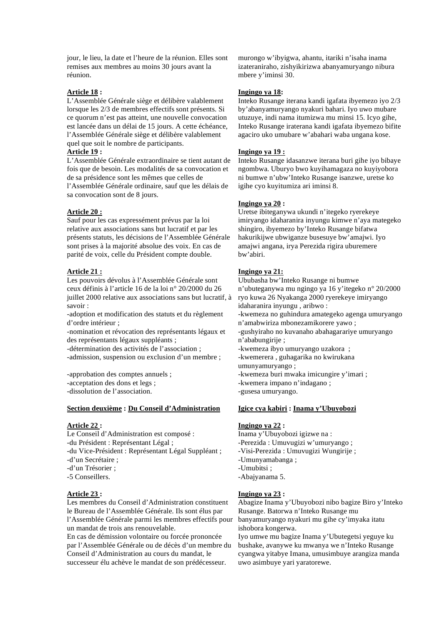jour, le lieu, la date et l'heure de la réunion. Elles sont remises aux membres au moins 30 jours avant la réunion.

### **Article 18 :**

L'Assemblée Générale siège et délibère valablement lorsque les 2/3 de membres effectifs sont présents. Si ce quorum n'est pas atteint, une nouvelle convocation est lancée dans un délai de 15 jours. A cette échéance, l'Assemblée Générale siège et délibère valablement quel que soit le nombre de participants.

#### **Article 19 :**

L'Assemblée Générale extraordinaire se tient autant de fois que de besoin. Les modalités de sa convocation et de sa présidence sont les mêmes que celles de l'Assemblée Générale ordinaire, sauf que les délais de sa convocation sont de 8 jours.

#### **Article 20 :**

Sauf pour les cas expressément prévus par la loi relative aux associations sans but lucratif et par les présents statuts, les décisions de l'Assemblée Générale sont prises à la majorité absolue des voix. En cas de parité de voix, celle du Président compte double.

#### **Article 21 :**

Les pouvoirs dévolus à l'Assemblée Générale sont ceux définis à l'article 16 de la loi n° 20/2000 du 26 juillet 2000 relative aux associations sans but lucratif, à savoir :

-adoption et modification des statuts et du règlement d'ordre intérieur ;

-nomination et révocation des représentants légaux et des représentants légaux suppléants ;

-détermination des activités de l'association ;

-admission, suspension ou exclusion d'un membre ;

-approbation des comptes annuels ;

-acceptation des dons et legs ;

-dissolution de l'association.

#### **Section deuxième : Du Conseil d'Administration**

#### **Article 22 :**

Le Conseil d'Administration est composé :

-du Président : Représentant Légal ;

-du Vice-Président : Représentant Légal Suppléant ;

- -d'un Secrétaire ;
- -d'un Trésorier ;
- -5 Conseillers.

#### **Article 23 :**

Les membres du Conseil d'Administration constituent le Bureau de l'Assemblée Générale. Ils sont élus par l'Assemblée Générale parmi les membres effectifs pour un mandat de trois ans renouvelable.

En cas de démission volontaire ou forcée prononcée par l'Assemblée Générale ou de décès d'un membre du Conseil d'Administration au cours du mandat, le successeur élu achève le mandat de son prédécesseur.

murongo w'ibyigwa, ahantu, itariki n'isaha inama izateraniraho, zishyikirizwa abanyamuryango nibura mbere y'iminsi 30.

#### **Ingingo ya 18:**

Inteko Rusange iterana kandi igafata ibyemezo iyo 2/3 by'abanyamuryango nyakuri bahari. Iyo uwo mubare utuzuye, indi nama itumizwa mu minsi 15. Icyo gihe, Inteko Rusange iraterana kandi igafata ibyemezo bifite agaciro uko umubare w'abahari waba ungana kose.

#### **Ingingo ya 19 :**

Inteko Rusange idasanzwe iterana buri gihe iyo bibaye ngombwa. Uburyo bwo kuyihamagaza no kuyiyobora ni bumwe n'ubw'Inteko Rusange isanzwe, uretse ko igihe cyo kuyitumiza ari iminsi 8.

#### **Ingingo ya 20 :**

Uretse ibiteganywa ukundi n'itegeko ryerekeye imiryango idaharanira inyungu kimwe n'aya mategeko shingiro, ibyemezo by'Inteko Rusange bifatwa hakurikijwe ubwiganze busesuye bw'amajwi. Iyo amajwi angana, irya Perezida rigira uburemere bw'abiri.

### **Ingingo ya 21:**

Ububasha bw'Inteko Rusange ni bumwe n'ubuteganywa mu ngingo ya 16 y'itegeko n° 20/2000 ryo kuwa 26 Nyakanga 2000 ryerekeye imiryango idaharanira inyungu , aribwo : -kwemeza no guhindura amategeko agenga umuryango n'amabwiriza mbonezamikorere yawo ; -gushyiraho no kuvanaho abahagarariye umuryango n'ababungirije ; -kwemeza ibyo umuryango uzakora ; -kwemerera , guhagarika no kwirukana umunyamuryango ; -kwemeza buri mwaka imicungire y'imari ;

-kwemera impano n'indagano ;

-gusesa umuryango.

#### **Igice cya kabiri : Inama y'Ubuyobozi**

#### **Ingingo ya 22 :**

Inama y'Ubuyobozi igizwe na : -Perezida : Umuvugizi w'umuryango ; -Visi-Perezida : Umuvugizi Wungirije ; -Umunyamabanga ; -Umubitsi ;

-Abajyanama 5.

#### **Ingingo ya 23 :**

Abagize Inama y'Ubuyobozi nibo bagize Biro y'Inteko Rusange. Batorwa n'Inteko Rusange mu banyamuryango nyakuri mu gihe cy'imyaka itatu ishobora kongerwa.

Iyo umwe mu bagize Inama y'Ubutegetsi yeguye ku bushake, avanywe ku mwanya we n'Inteko Rusange cyangwa yitabye Imana, umusimbuye arangiza manda uwo asimbuye yari yaratorewe.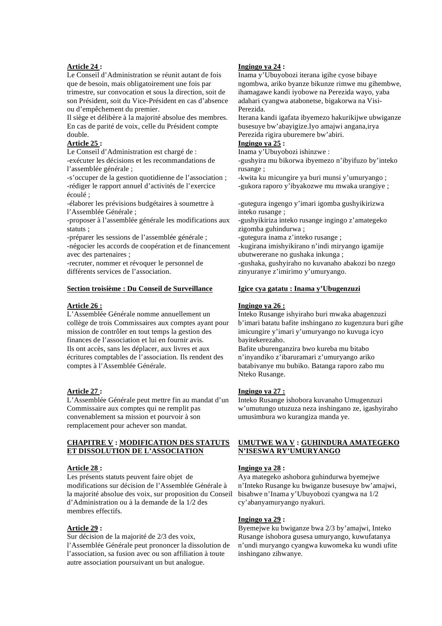### **Article 24 :**

Le Conseil d'Administration se réunit autant de fois que de besoin, mais obligatoirement une fois par trimestre, sur convocation et sous la direction, soit de

son Président, soit du Vice-Président en cas d'absence ou d'empêchement du premier.

Il siège et délibère à la majorité absolue des membres. En cas de parité de voix, celle du Président compte double.

#### **Article 25 :**

Le Conseil d'Administration est chargé de : -exécuter les décisions et les recommandations de l'assemblée générale ;

-s'occuper de la gestion quotidienne de l'association ; -rédiger le rapport annuel d'activités de l'exercice écoulé ;

-élaborer les prévisions budgétaires à soumettre à l'Assemblée Générale ;

-proposer à l'assemblée générale les modifications aux statuts ;

-préparer les sessions de l'assemblée générale ;

-négocier les accords de coopération et de financement avec des partenaires ;

-recruter, nommer et révoquer le personnel de différents services de l'association.

#### **Section troisième : Du Conseil de Surveillance**

#### **Article 26 :**

L'Assemblée Générale nomme annuellement un collège de trois Commissaires aux comptes ayant pour mission de contrôler en tout temps la gestion des finances de l'association et lui en fournir avis. Ils ont accès, sans les déplacer, aux livres et aux écritures comptables de l'association. Ils rendent des comptes à l'Assemblée Générale.

#### **Article 27 :**

L'Assemblée Générale peut mettre fin au mandat d'un Commissaire aux comptes qui ne remplit pas convenablement sa mission et pourvoir à son remplacement pour achever son mandat.

### **CHAPITRE V : MODIFICATION DES STATUTS ET DISSOLUTION DE L'ASSOCIATION**

#### **Article 28 :**

Les présents statuts peuvent faire objet de modifications sur décision de l'Assemblée Générale à la majorité absolue des voix, sur proposition du Conseil d'Administration ou à la demande de la 1/2 des membres effectifs.

#### **Article 29 :**

Sur décision de la majorité de 2/3 des voix, l'Assemblée Générale peut prononcer la dissolution de l'association, sa fusion avec ou son affiliation à toute autre association poursuivant un but analogue.

#### **Ingingo ya 24 :**

Inama y'Ubuyobozi iterana igihe cyose bibaye ngombwa, ariko byanze bikunze rimwe mu gihembwe, ihamagawe kandi iyobowe na Perezida wayo, yaba adahari cyangwa atabonetse, bigakorwa na Visi-Perezida.

Iterana kandi igafata ibyemezo hakurikijwe ubwiganze busesuye bw'abayigize.Iyo amajwi angana,irya Perezida rigira uburemere bw'abiri.

#### **Ingingo ya 25 :**

Inama y'Ubuyobozi ishinzwe :

-gushyira mu bikorwa ibyemezo n'ibyifuzo by'inteko rusange ;

-kwita ku micungire ya buri munsi y'umuryango ; -gukora raporo y'ibyakozwe mu mwaka urangiye ;

-gutegura ingengo y'imari igomba gushyikirizwa inteko rusange ;

-gushyikiriza inteko rusange ingingo z'amategeko zigomba guhindurwa ;

-gutegura inama z'inteko rusange ;

-kugirana imishyikirano n'indi miryango igamije ubutwererane no gushaka inkunga ; -gushaka, gushyiraho no kuvanaho abakozi bo nzego

zinyuranye z'imirimo y'umuryango.

### **Igice cya gatatu : Inama y'Ubugenzuzi**

#### **Ingingo ya 26 :**

Inteko Rusange ishyiraho buri mwaka abagenzuzi b'imari batatu bafite inshingano zo kugenzura buri gihe imicungire y'imari y'umuryango no kuvuga icyo bayitekerezaho.

Bafite uburenganzira bwo kureba mu bitabo n'inyandiko z'ibaruramari z'umuryango ariko batabivanye mu bubiko. Batanga raporo zabo mu Nteko Rusange.

#### **Ingingo ya 27 :**

Inteko Rusange ishobora kuvanaho Umugenzuzi w'umutungo utuzuza neza inshingano ze, igashyiraho umusimbura wo kurangiza manda ye.

#### **UMUTWE WA V : GUHINDURA AMATEGEKO N'ISESWA RY'UMURYANGO**

#### **Ingingo ya 28 :**

Aya mategeko ashobora guhindurwa byemejwe n'Inteko Rusange ku bwiganze busesuye bw'amajwi, bisabwe n'Inama y'Ubuyobozi cyangwa na 1/2 cy'abanyamuryango nyakuri.

#### **Ingingo ya 29 :**

Byemejwe ku bwiganze bwa 2/3 by'amajwi, Inteko Rusange ishobora gusesa umuryango, kuwufatanya n'undi muryango cyangwa kuwomeka ku wundi ufite inshingano zihwanye.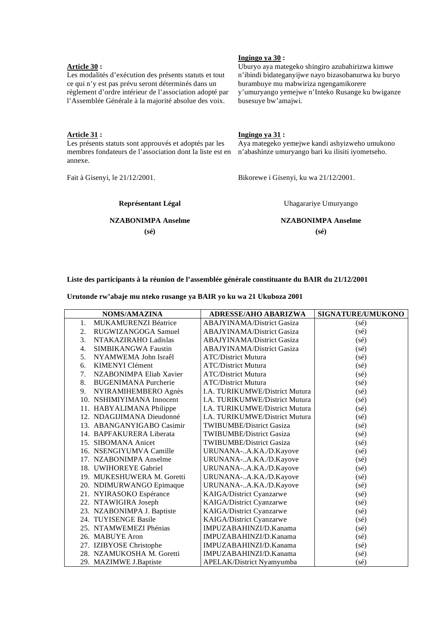### **Article 30 :**

Les modalités d'exécution des présents statuts et tout ce qui n'y est pas prévu seront déterminés dans un règlement d'ordre intérieur de l'association adopté par l'Assemblée Générale à la majorité absolue des voix.

#### **Ingingo ya 30 :**

Uburyo aya mategeko shingiro azubahirizwa kimwe n'ibindi bidateganyijwe nayo bizasobanurwa ku buryo burambuye mu mabwiriza ngengamikorere y'umuryango yemejwe n'Inteko Rusange ku bwiganze busesuye bw'amajwi.

#### **Article 31 :**

Les présents statuts sont approuvés et adoptés par les membres fondateurs de l'association dont la liste est en annexe.

Fait à Gisenyi, le 21/12/2001.

### **Ingingo ya 31 :**

Aya mategeko yemejwe kandi ashyizweho umukono n'abashinze umuryango bari ku ilisiti iyometseho.

Bikorewe i Gisenyi, ku wa 21/12/2001.

**Représentant Légal** 

### **NZABONIMPA Anselme**

**(sé)** 

Uhagarariye Umuryango **NZABONIMPA Anselme** 

**(sé)**

### **Liste des participants à la réunion de l'assemblée générale constituante du BAIR du 21/12/2001**

**Urutonde rw'abaje mu nteko rusange ya BAIR yo ku wa 21 Ukuboza 2001** 

| <b>NOMS/AMAZINA</b>                           | <b>ADRESSE/AHO ABARIZWA</b>           | SIGNATURE/UMUKONO |
|-----------------------------------------------|---------------------------------------|-------------------|
| <b>MUKAMURENZI Béatrice</b><br>$\mathbf{1}$ . | <b>ABAJYINAMA/District Gasiza</b>     | $(s\acute{e})$    |
| RUGWIZANGOGA Samuel<br>2.                     | <b>ABAJYINAMA/District Gasiza</b>     | $(s\acute{e})$    |
| 3.<br>NTAKAZIRAHO Ladislas                    | <b>ABAJYINAMA/District Gasiza</b>     | $(s\acute{e})$    |
| 4.<br><b>SIMBIKANGWA Faustin</b>              | <b>ABAJYINAMA/District Gasiza</b>     | $(s\acute{e})$    |
| 5.<br>NYAMWEMA John Israêl                    | <b>ATC/District Mutura</b>            | $(s\acute{e})$    |
| KIMENYI Clément<br>6.                         | <b>ATC/District Mutura</b>            | $(s\acute{e})$    |
| 7.<br>NZABONIMPA Eliab Xavier                 | <b>ATC/District Mutura</b>            | $(s\acute{e})$    |
| 8.<br><b>BUGENIMANA Purcherie</b>             | <b>ATC/District Mutura</b>            | $(s\acute{e})$    |
| 9.<br>NYIRAMIHEMBERO Agnès                    | <b>I.A. TURIKUMWE/District Mutura</b> | $(s\acute{e})$    |
| 10. NSHIMIYIMANA Innocent                     | I.A. TURIKUMWE/District Mutura        | $(s\acute{e})$    |
| 11. HABYALIMANA Philippe                      | <b>I.A. TURIKUMWE/District Mutura</b> | $(s\acute{e})$    |
| 12. NDAGIJIMANA Dieudonné                     | I.A. TURIKUMWE/District Mutura        | $(s\acute{e})$    |
| 13. ABANGANYIGABO Casimir                     | <b>TWIBUMBE/District Gasiza</b>       | (sé)              |
| 14. BAPFAKURERA Liberata                      | <b>TWIBUMBE/District Gasiza</b>       | $(s\acute{e})$    |
| 15. SIBOMANA Anicet                           | <b>TWIBUMBE/District Gasiza</b>       | (sé)              |
| 16. NSENGIYUMVA Camille                       | URUNANA-A.KA./D.Kayove                | (sé)              |
| 17. NZABONIMPA Anselme                        | URUNANA-A.KA./D.Kayove                | $(s\acute{e})$    |
| 18. UWIHOREYE Gabriel                         | URUNANA-A.KA./D.Kayove                | (sé)              |
| 19. MUKESHUWERA M. Goretti                    | URUNANA-A.KA./D.Kayove                | (sé)              |
| 20. NDIMURWANGO Epimaque                      | URUNANA-A.KA./D.Kayove                | (sé)              |
| 21. NYIRASOKO Espérance                       | KAIGA/District Cyanzarwe              | (sé)              |
| 22. NTAWIGIRA Joseph                          | KAIGA/District Cyanzarwe              | $(s\acute{e})$    |
| 23. NZABONIMPA J. Baptiste                    | KAIGA/District Cyanzarwe              | (sé)              |
| 24. TUYISENGE Basile                          | KAIGA/District Cyanzarwe              | $(s\acute{e})$    |
| 25. NTAMWEMEZI Phénias                        | IMPUZABAHINZI/D.Kanama                | (sé)              |
| 26. MABUYE Aron                               | IMPUZABAHINZI/D.Kanama                | $(s\acute{e})$    |
| 27. IZIBYOSE Christophe                       | IMPUZABAHINZI/D.Kanama                | $(s\acute{e})$    |
| 28. NZAMUKOSHA M. Goretti                     | IMPUZABAHINZI/D.Kanama                | (sé)              |
| 29. MAZIMWE J.Baptiste                        | APELAK/District Nyamyumba             | (sé)              |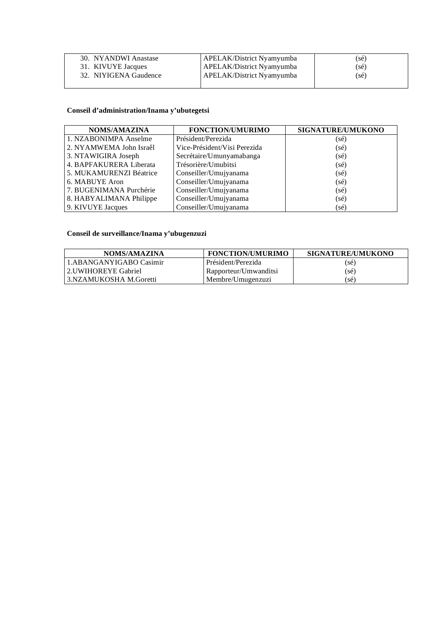| 30. NYANDWI Anastase  | <b>APELAK/District Nyamyumba</b> | (sé) |
|-----------------------|----------------------------------|------|
| 31. KIVUYE Jacques    | <b>APELAK/District Nyamyumba</b> | (sé) |
| 32. NIYIGENA Gaudence | APELAK/District Nyamyumba        | (sé) |

### **Conseil d'administration/Inama y'ubutegetsi**

| <b>NOMS/AMAZINA</b>     | <b>FONCTION/UMURIMO</b>      | SIGNATURE/UMUKONO |
|-------------------------|------------------------------|-------------------|
| 1. NZABONIMPA Anselme   | Président/Perezida           | $(s\acute{e})$    |
| 2. NYAMWEMA John Israêl | Vice-Président/Visi Perezida | $(s\acute{e})$    |
| 3. NTAWIGIRA Joseph     | Secrétaire/Umunyamabanga     | $(s\acute{e})$    |
| 4. BAPFAKURERA Liberata | Trésorière/Umubitsi          | $(s\acute{e})$    |
| 5. MUKAMURENZI Béatrice | Conseiller/Umujyanama        | $(s\acute{e})$    |
| 6. MABUYE Aron          | Conseiller/Umujyanama        | $(s\acute{e})$    |
| 7. BUGENIMANA Purchérie | Conseiller/Umujyanama        | $(s\acute{e})$    |
| 8. HABYALIMANA Philippe | Conseiller/Umujyanama        | $(s\acute{e})$    |
| 9. KIVUYE Jacques       | Conseiller/Umujyanama        | (sé)              |

## **Conseil de surveillance/Inama y'ubugenzuzi**

| NOMS/AMAZINA            | <b>FONCTION/UMURIMO</b> | SIGNATURE/UMUKONO |
|-------------------------|-------------------------|-------------------|
| 1.ABANGANYIGABO Casimir | Président/Perezida      | (sé)              |
| 2.UWIHOREYE Gabriel     | Rapporteur/Umwanditsi   | (sé)              |
| 3.NZAMUKOSHA M.Goretti  | Membre/Umugenzuzi       | (sé)              |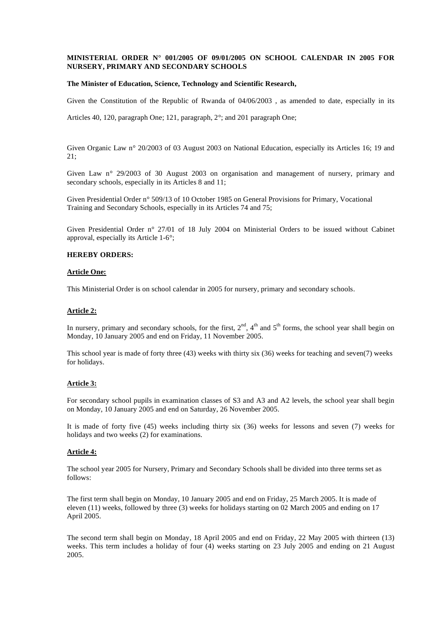#### **MINISTERIAL ORDER N° 001/2005 OF 09/01/2005 ON SCHOOL CALENDAR IN 2005 FOR NURSERY, PRIMARY AND SECONDARY SCHOOLS**

#### **The Minister of Education, Science, Technology and Scientific Research,**

Given the Constitution of the Republic of Rwanda of 04/06/2003 , as amended to date, especially in its

Articles 40, 120, paragraph One; 121, paragraph, 2°; and 201 paragraph One;

Given Organic Law n° 20/2003 of 03 August 2003 on National Education, especially its Articles 16; 19 and 21;

Given Law n° 29/2003 of 30 August 2003 on organisation and management of nursery, primary and secondary schools, especially in its Articles 8 and 11;

Given Presidential Order n° 509/13 of 10 October 1985 on General Provisions for Primary, Vocational Training and Secondary Schools, especially in its Articles 74 and 75;

Given Presidential Order n° 27/01 of 18 July 2004 on Ministerial Orders to be issued without Cabinet approval, especially its Article 1-6°;

#### **HEREBY ORDERS:**

#### **Article One:**

This Ministerial Order is on school calendar in 2005 for nursery, primary and secondary schools.

#### **Article 2:**

In nursery, primary and secondary schools, for the first,  $2<sup>nd</sup>$ ,  $4<sup>th</sup>$  and  $5<sup>th</sup>$  forms, the school year shall begin on Monday, 10 January 2005 and end on Friday, 11 November 2005.

This school year is made of forty three (43) weeks with thirty six (36) weeks for teaching and seven(7) weeks for holidays.

#### **Article 3:**

For secondary school pupils in examination classes of S3 and A3 and A2 levels, the school year shall begin on Monday, 10 January 2005 and end on Saturday, 26 November 2005.

It is made of forty five (45) weeks including thirty six (36) weeks for lessons and seven (7) weeks for holidays and two weeks (2) for examinations.

#### **Article 4:**

The school year 2005 for Nursery, Primary and Secondary Schools shall be divided into three terms set as follows:

The first term shall begin on Monday, 10 January 2005 and end on Friday, 25 March 2005. It is made of eleven (11) weeks, followed by three (3) weeks for holidays starting on 02 March 2005 and ending on 17 April 2005.

The second term shall begin on Monday, 18 April 2005 and end on Friday, 22 May 2005 with thirteen (13) weeks. This term includes a holiday of four (4) weeks starting on 23 July 2005 and ending on 21 August 2005.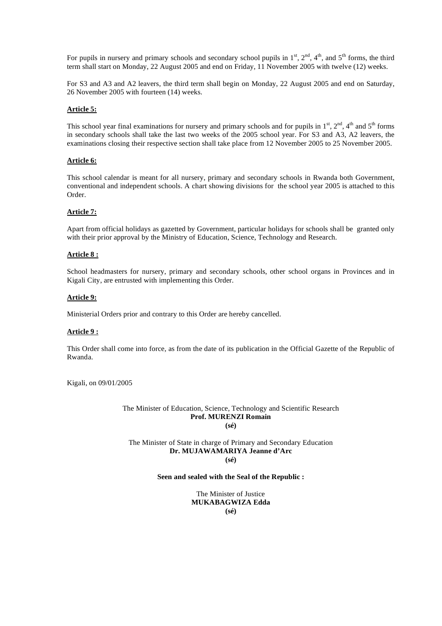For pupils in nursery and primary schools and secondary school pupils in  $1<sup>st</sup>$ ,  $2<sup>nd</sup>$ ,  $4<sup>th</sup>$ , and  $5<sup>th</sup>$  forms, the third term shall start on Monday, 22 August 2005 and end on Friday, 11 November 2005 with twelve (12) weeks.

For S3 and A3 and A2 leavers, the third term shall begin on Monday, 22 August 2005 and end on Saturday, 26 November 2005 with fourteen (14) weeks.

#### **Article 5:**

This school year final examinations for nursery and primary schools and for pupils in  $1<sup>st</sup>$ ,  $2<sup>nd</sup>$ ,  $4<sup>th</sup>$  and  $5<sup>th</sup>$  forms in secondary schools shall take the last two weeks of the 2005 school year. For S3 and A3, A2 leavers, the examinations closing their respective section shall take place from 12 November 2005 to 25 November 2005.

#### **Article 6:**

This school calendar is meant for all nursery, primary and secondary schools in Rwanda both Government, conventional and independent schools. A chart showing divisions for the school year 2005 is attached to this Order.

#### **Article 7:**

Apart from official holidays as gazetted by Government, particular holidays for schools shall be granted only with their prior approval by the Ministry of Education, Science, Technology and Research.

#### **Article 8 :**

School headmasters for nursery, primary and secondary schools, other school organs in Provinces and in Kigali City, are entrusted with implementing this Order.

#### **Article 9:**

Ministerial Orders prior and contrary to this Order are hereby cancelled.

#### **Article 9 :**

This Order shall come into force, as from the date of its publication in the Official Gazette of the Republic of Rwanda.

Kigali, on 09/01/2005

The Minister of Education, Science, Technology and Scientific Research **Prof. MURENZI Romain (sé)** 

The Minister of State in charge of Primary and Secondary Education **Dr. MUJAWAMARIYA Jeanne d'Arc (sé)** 

#### **Seen and sealed with the Seal of the Republic :**

The Minister of Justice **MUKABAGWIZA Edda (sé)**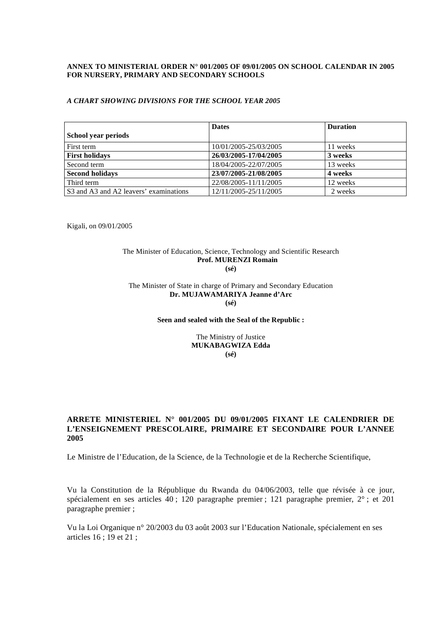#### **ANNEX TO MINISTERIAL ORDER N° 001/2005 OF 09/01/2005 ON SCHOOL CALENDAR IN 2005 FOR NURSERY, PRIMARY AND SECONDARY SCHOOLS**

#### *A CHART SHOWING DIVISIONS FOR THE SCHOOL YEAR 2005*

|                                        | <b>Dates</b>          | <b>Duration</b> |
|----------------------------------------|-----------------------|-----------------|
| School year periods                    |                       |                 |
| First term                             | 10/01/2005-25/03/2005 | 11 weeks        |
| <b>First holidays</b>                  | 26/03/2005-17/04/2005 | 3 weeks         |
| Second term                            | 18/04/2005-22/07/2005 | 13 weeks        |
| <b>Second holidays</b>                 | 23/07/2005-21/08/2005 | 4 weeks         |
| Third term                             | 22/08/2005-11/11/2005 | 12 weeks        |
| S3 and A3 and A2 leavers' examinations | 12/11/2005-25/11/2005 | 2 weeks         |

Kigali, on 09/01/2005

#### The Minister of Education, Science, Technology and Scientific Research **Prof. MURENZI Romain (sé)**

#### The Minister of State in charge of Primary and Secondary Education **Dr. MUJAWAMARIYA Jeanne d'Arc (sé)**

#### **Seen and sealed with the Seal of the Republic :**

#### The Ministry of Justice **MUKABAGWIZA Edda (sé)**

### **ARRETE MINISTERIEL N° 001/2005 DU 09/01/2005 FIXANT LE CALENDRIER DE L'ENSEIGNEMENT PRESCOLAIRE, PRIMAIRE ET SECONDAIRE POUR L'ANNEE 2005**

Le Ministre de l'Education, de la Science, de la Technologie et de la Recherche Scientifique,

Vu la Constitution de la République du Rwanda du 04/06/2003, telle que révisée à ce jour, spécialement en ses articles 40 ; 120 paragraphe premier ; 121 paragraphe premier, 2° ; et 201 paragraphe premier ;

Vu la Loi Organique n° 20/2003 du 03 août 2003 sur l'Education Nationale, spécialement en ses articles 16 ; 19 et 21 ;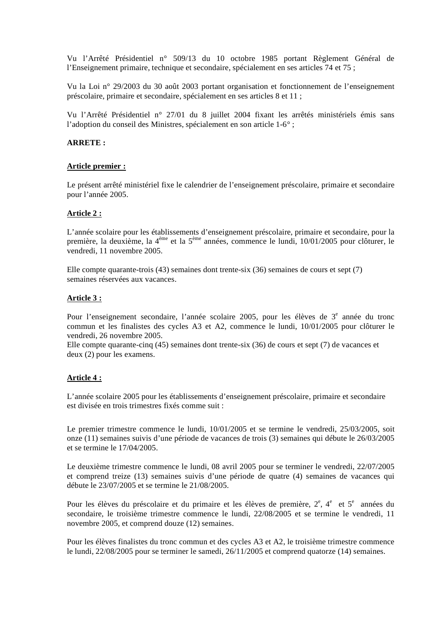Vu l'Arrêté Présidentiel n° 509/13 du 10 octobre 1985 portant Règlement Général de l'Enseignement primaire, technique et secondaire, spécialement en ses articles 74 et 75 ;

Vu la Loi n° 29/2003 du 30 août 2003 portant organisation et fonctionnement de l'enseignement préscolaire, primaire et secondaire, spécialement en ses articles 8 et 11 ;

Vu l'Arrêté Présidentiel n° 27/01 du 8 juillet 2004 fixant les arrêtés ministériels émis sans l'adoption du conseil des Ministres, spécialement en son article 1-6° ;

### **ARRETE :**

#### **Article premier :**

Le présent arrêté ministériel fixe le calendrier de l'enseignement préscolaire, primaire et secondaire pour l'année 2005.

### **Article 2 :**

L'année scolaire pour les établissements d'enseignement préscolaire, primaire et secondaire, pour la première, la deuxième, la 4ème et la 5ème années, commence le lundi, 10/01/2005 pour clôturer, le vendredi, 11 novembre 2005.

Elle compte quarante-trois (43) semaines dont trente-six (36) semaines de cours et sept (7) semaines réservées aux vacances.

#### **Article 3 :**

Pour l'enseignement secondaire, l'année scolaire 2005, pour les élèves de 3<sup>e</sup> année du tronc commun et les finalistes des cycles A3 et A2, commence le lundi, 10/01/2005 pour clôturer le vendredi, 26 novembre 2005.

Elle compte quarante-cinq (45) semaines dont trente-six (36) de cours et sept (7) de vacances et deux (2) pour les examens.

#### **Article 4 :**

L'année scolaire 2005 pour les établissements d'enseignement préscolaire, primaire et secondaire est divisée en trois trimestres fixés comme suit :

Le premier trimestre commence le lundi, 10/01/2005 et se termine le vendredi, 25/03/2005, soit onze (11) semaines suivis d'une période de vacances de trois (3) semaines qui débute le 26/03/2005 et se termine le 17/04/2005.

Le deuxième trimestre commence le lundi, 08 avril 2005 pour se terminer le vendredi, 22/07/2005 et comprend treize (13) semaines suivis d'une période de quatre (4) semaines de vacances qui débute le 23/07/2005 et se termine le 21/08/2005.

Pour les élèves du préscolaire et du primaire et les élèves de première,  $2^e$ ,  $4^e$  et  $5^e$  années du secondaire, le troisième trimestre commence le lundi, 22/08/2005 et se termine le vendredi, 11 novembre 2005, et comprend douze (12) semaines.

Pour les élèves finalistes du tronc commun et des cycles A3 et A2, le troisième trimestre commence le lundi, 22/08/2005 pour se terminer le samedi, 26/11/2005 et comprend quatorze (14) semaines.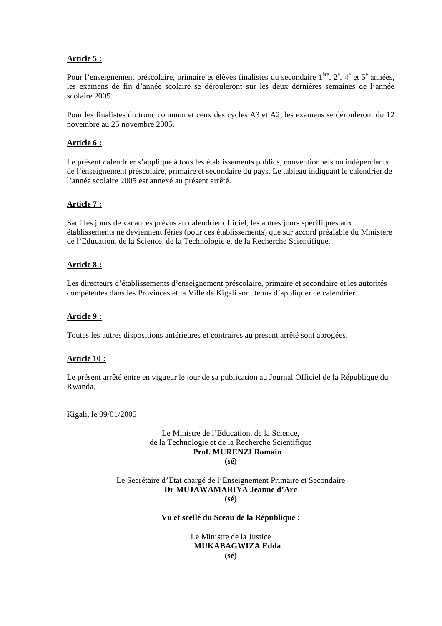### **Article 5 :**

Pour l'enseignement préscolaire, primaire et élèves finalistes du secondaire  $1^{$ ère,  $2^e$ ,  $4^e$  et  $5^e$  années, les examens de fin d'année scolaire se dérouleront sur les deux dernières semaines de l'année scolaire 2005.

Pour les finalistes du tronc commun et ceux des cycles A3 et A2, les examens se dérouleront du 12 novembre au 25 novembre 2005.

### **Article 6 :**

Le présent calendrier s'applique à tous les établissements publics, conventionnels ou indépendants de l'enseignement préscolaire, primaire et secondaire du pays. Le tableau indiquant le calendrier de l'année scolaire 2005 est annexé au présent arrêté.

### **Article 7 :**

Sauf les jours de vacances prévus au calendrier officiel, les autres jours spécifiques aux établissements ne deviennent fériés (pour ces établissements) que sur accord préalable du Ministère de l'Education, de la Science, de la Technologie et de la Recherche Scientifique.

### **Article 8 :**

Les directeurs d'établissements d'enseignement préscolaire, primaire et secondaire et les autorités compétentes dans les Provinces et la Ville de Kigali sont tenus d'appliquer ce calendrier.

#### **Article 9 :**

Toutes les autres dispositions antérieures et contraires au présent arrêté sont abrogées.

#### **Article 10 :**

Le présent arrêté entre en vigueur le jour de sa publication au Journal Officiel de la République du Rwanda.

Kigali, le 09/01/2005

#### Le Ministre de l'Education, de la Science, de la Technologie et de la Recherche Scientifique **Prof. MURENZI Romain (sé)**

#### Le Secrétaire d'Etat chargé de l'Enseignement Primaire et Secondaire **Dr MUJAWAMARIYA Jeanne d'Arc (sé)**

#### **Vu et scellé du Sceau de la République :**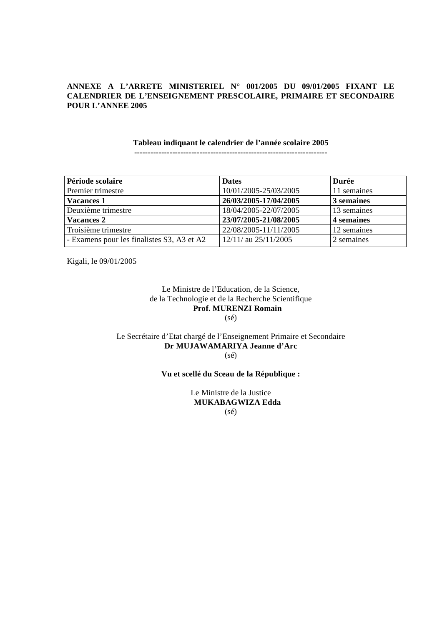### **ANNEXE A L'ARRETE MINISTERIEL N° 001/2005 DU 09/01/2005 FIXANT LE CALENDRIER DE L'ENSEIGNEMENT PRESCOLAIRE, PRIMAIRE ET SECONDAIRE POUR L'ANNEE 2005**

### **Tableau indiquant le calendrier de l'année scolaire 2005**

**-----------------------------------------------------------------------** 

| Période scolaire                           | <b>Dates</b>             | Durée       |
|--------------------------------------------|--------------------------|-------------|
| Premier trimestre                          | 10/01/2005-25/03/2005    | 11 semaines |
| <b>Vacances 1</b>                          | 26/03/2005-17/04/2005    | 3 semaines  |
| Deuxième trimestre                         | 18/04/2005-22/07/2005    | 13 semaines |
| <b>Vacances 2</b>                          | 23/07/2005-21/08/2005    | 4 semaines  |
| Troisième trimestre                        | 22/08/2005-11/11/2005    | 12 semaines |
| - Examens pour les finalistes S3, A3 et A2 | $12/11/$ au $25/11/2005$ | 2 semaines  |

Kigali, le 09/01/2005

Le Ministre de l'Education, de la Science, de la Technologie et de la Recherche Scientifique **Prof. MURENZI Romain**   $(sé)$ 

### Le Secrétaire d'Etat chargé de l'Enseignement Primaire et Secondaire **Dr MUJAWAMARIYA Jeanne d'Arc**  (sé)

### **Vu et scellé du Sceau de la République :**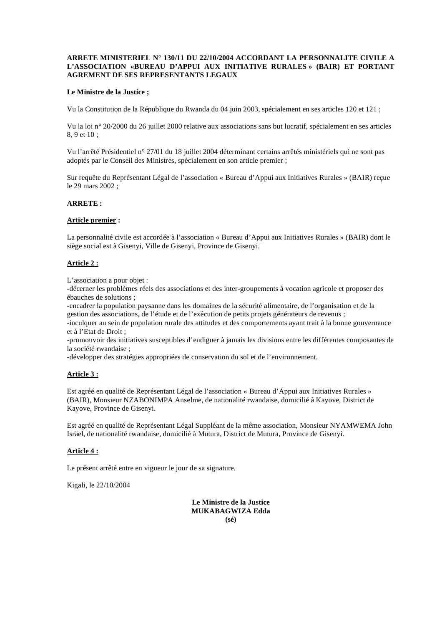#### **ARRETE MINISTERIEL N° 130/11 DU 22/10/2004 ACCORDANT LA PERSONNALITE CIVILE A L'ASSOCIATION «BUREAU D'APPUI AUX INITIATIVE RURALES » (BAIR) ET PORTANT AGREMENT DE SES REPRESENTANTS LEGAUX**

#### **Le Ministre de la Justice ;**

Vu la Constitution de la République du Rwanda du 04 juin 2003, spécialement en ses articles 120 et 121 ;

Vu la loi n° 20/2000 du 26 juillet 2000 relative aux associations sans but lucratif, spécialement en ses articles 8, 9 et 10 ;

Vu l'arrêté Présidentiel n° 27/01 du 18 juillet 2004 déterminant certains arrêtés ministériels qui ne sont pas adoptés par le Conseil des Ministres, spécialement en son article premier ;

Sur requête du Représentant Légal de l'association « Bureau d'Appui aux Initiatives Rurales » (BAIR) reçue le 29 mars 2002 ;

#### **ARRETE :**

#### **Article premier :**

La personnalité civile est accordée à l'association « Bureau d'Appui aux Initiatives Rurales » (BAIR) dont le siège social est à Gisenyi, Ville de Gisenyi, Province de Gisenyi.

#### **Article 2 :**

L'association a pour objet :

-décerner les problèmes réels des associations et des inter-groupements à vocation agricole et proposer des ébauches de solutions ;

-encadrer la population paysanne dans les domaines de la sécurité alimentaire, de l'organisation et de la gestion des associations, de l'étude et de l'exécution de petits projets générateurs de revenus ;

-inculquer au sein de population rurale des attitudes et des comportements ayant trait à la bonne gouvernance et à l'Etat de Droit ;

-promouvoir des initiatives susceptibles d'endiguer à jamais les divisions entre les différentes composantes de la société rwandaise ;

-développer des stratégies appropriées de conservation du sol et de l'environnement.

#### **Article 3 :**

Est agréé en qualité de Représentant Légal de l'association « Bureau d'Appui aux Initiatives Rurales » (BAIR), Monsieur NZABONIMPA Anselme, de nationalité rwandaise, domicilié à Kayove, District de Kayove, Province de Gisenyi.

Est agréé en qualité de Représentant Légal Suppléant de la même association, Monsieur NYAMWEMA John Isräel, de nationalité rwandaise, domicilié à Mutura, District de Mutura, Province de Gisenyi.

#### **Article 4 :**

Le présent arrêté entre en vigueur le jour de sa signature.

Kigali, le 22/10/2004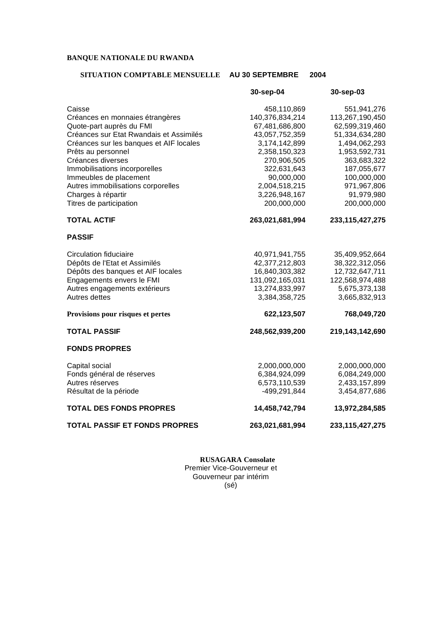### **BANQUE NATIONALE DU RWANDA**

### **SITUATION COMPTABLE MENSUELLE AU 30 SEPTEMBRE 2004**

|                                         | 30-sep-04       | 30-sep-03          |
|-----------------------------------------|-----------------|--------------------|
| Caisse                                  | 458,110,869     | 551,941,276        |
| Créances en monnaies étrangères         | 140,376,834,214 | 113,267,190,450    |
| Quote-part auprès du FMI                | 67,481,686,800  | 62,599,319,460     |
| Créances sur Etat Rwandais et Assimilés | 43,057,752,359  | 51,334,634,280     |
| Créances sur les banques et AIF locales | 3,174,142,899   | 1,494,062,293      |
| Prêts au personnel                      | 2,358,150,323   | 1,953,592,731      |
| Créances diverses                       | 270,906,505     | 363,683,322        |
| Immobilisations incorporelles           | 322,631,643     | 187,055,677        |
| Immeubles de placement                  | 90,000,000      | 100,000,000        |
| Autres immobilisations corporelles      | 2,004,518,215   | 971,967,806        |
| Charges à répartir                      | 3,226,948,167   | 91,979,980         |
| Titres de participation                 | 200,000,000     | 200,000,000        |
| <b>TOTAL ACTIF</b>                      | 263,021,681,994 | 233, 115, 427, 275 |
| <b>PASSIF</b>                           |                 |                    |
| <b>Circulation fiduciaire</b>           | 40,971,941,755  | 35,409,952,664     |
| Dépôts de l'Etat et Assimilés           | 42,377,212,803  | 38,322,312,056     |
| Dépôts des banques et AIF locales       | 16,840,303,382  | 12,732,647,711     |
| Engagements envers le FMI               | 131,092,165,031 | 122,568,974,488    |
| Autres engagements extérieurs           | 13,274,833,997  | 5,675,373,138      |
| Autres dettes                           | 3,384,358,725   | 3,665,832,913      |
| Provisions pour risques et pertes       | 622,123,507     | 768,049,720        |
| <b>TOTAL PASSIF</b>                     | 248,562,939,200 | 219,143,142,690    |
| <b>FONDS PROPRES</b>                    |                 |                    |
| Capital social                          | 2,000,000,000   | 2,000,000,000      |
| Fonds général de réserves               | 6,384,924,099   | 6,084,249,000      |
| Autres réserves                         | 6,573,110,539   | 2,433,157,899      |
| Résultat de la période                  | -499,291,844    | 3,454,877,686      |
| <b>TOTAL DES FONDS PROPRES</b>          | 14,458,742,794  | 13,972,284,585     |
| <b>TOTAL PASSIF ET FONDS PROPRES</b>    | 263,021,681,994 | 233, 115, 427, 275 |

**RUSAGARA Consolate**  Premier Vice-Gouverneur et Gouverneur par intérim (sé)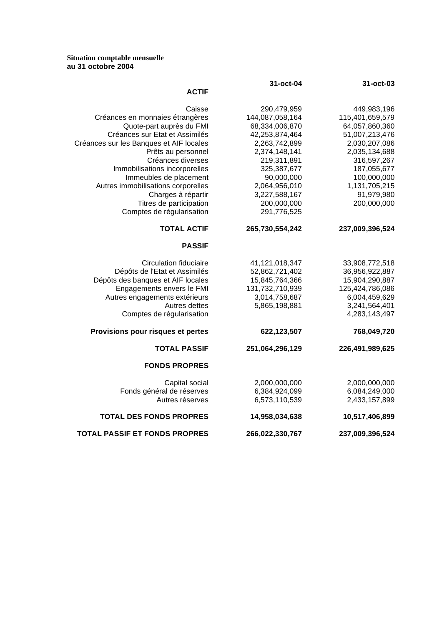#### **Situation comptable mensuelle au 31 octobre 2004**

|                                         | 31-oct-04       | 31-oct-03       |
|-----------------------------------------|-----------------|-----------------|
| <b>ACTIF</b>                            |                 |                 |
| Caisse                                  | 290,479,959     | 449,983,196     |
| Créances en monnaies étrangères         | 144,087,058,164 | 115,401,659,579 |
| Quote-part auprès du FMI                | 68,334,006,870  | 64,057,860,360  |
| Créances sur Etat et Assimilés          | 42,253,874,464  | 51,007,213,476  |
| Créances sur les Banques et AIF locales | 2,263,742,899   | 2,030,207,086   |
| Prêts au personnel                      | 2,374,148,141   | 2,035,134,688   |
| Créances diverses                       | 219,311,891     | 316,597,267     |
| Immobilisations incorporelles           | 325, 387, 677   | 187,055,677     |
| Immeubles de placement                  | 90,000,000      | 100,000,000     |
| Autres immobilisations corporelles      | 2,064,956,010   | 1,131,705,215   |
| Charges à répartir                      | 3,227,588,167   | 91,979,980      |
| Titres de participation                 | 200,000,000     | 200,000,000     |
| Comptes de régularisation               | 291,776,525     |                 |
| <b>TOTAL ACTIF</b>                      | 265,730,554,242 | 237,009,396,524 |
| <b>PASSIF</b>                           |                 |                 |
| Circulation fiduciaire                  | 41,121,018,347  | 33,908,772,518  |
| Dépôts de l'Etat et Assimilés           | 52,862,721,402  | 36,956,922,887  |
| Dépôts des banques et AIF locales       | 15,845,764,366  | 15,904,290,887  |
| Engagements envers le FMI               | 131,732,710,939 | 125,424,786,086 |
| Autres engagements extérieurs           | 3,014,758,687   | 6,004,459,629   |
| Autres dettes                           | 5,865,198,881   | 3,241,564,401   |
| Comptes de régularisation               |                 | 4,283,143,497   |
| Provisions pour risques et pertes       | 622,123,507     | 768,049,720     |
| <b>TOTAL PASSIF</b>                     | 251,064,296,129 | 226,491,989,625 |
| <b>FONDS PROPRES</b>                    |                 |                 |
| Capital social                          | 2,000,000,000   | 2,000,000,000   |
| Fonds général de réserves               | 6,384,924,099   | 6,084,249,000   |
| Autres réserves                         | 6,573,110,539   | 2,433,157,899   |
| <b>TOTAL DES FONDS PROPRES</b>          | 14,958,034,638  | 10,517,406,899  |
| <b>TOTAL PASSIF ET FONDS PROPRES</b>    | 266,022,330,767 | 237,009,396,524 |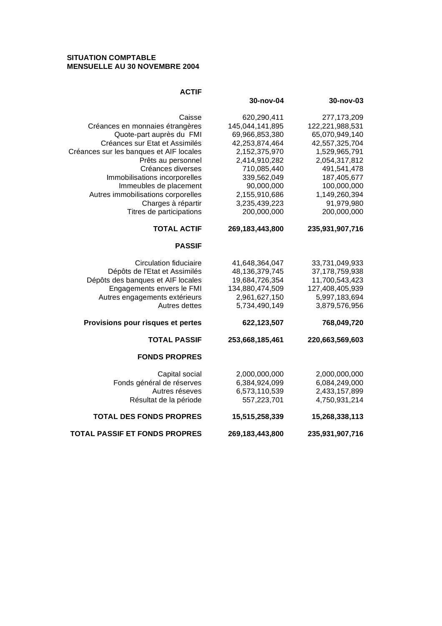### **SITUATION COMPTABLE MENSUELLE AU 30 NOVEMBRE 2004**

| <b>ACTIF</b>                            |                 |                 |
|-----------------------------------------|-----------------|-----------------|
|                                         | 30-nov-04       | 30-nov-03       |
| Caisse                                  | 620,290,411     | 277, 173, 209   |
| Créances en monnaies étrangères         | 145,044,141,895 | 122,221,988,531 |
| Quote-part auprès du FMI                | 69,966,853,380  | 65,070,949,140  |
| Créances sur Etat et Assimilés          | 42,253,874,464  | 42,557,325,704  |
| Créances sur les banques et AIF locales | 2,152,375,970   | 1,529,965,791   |
| Prêts au personnel                      | 2,414,910,282   | 2,054,317,812   |
| Créances diverses                       | 710,085,440     | 491,541,478     |
| Immobilisations incorporelles           | 339,562,049     | 187,405,677     |
| Immeubles de placement                  | 90,000,000      | 100,000,000     |
| Autres immobilisations corporelles      | 2,155,910,686   | 1,149,260,394   |
| Charges à répartir                      | 3,235,439,223   | 91,979,980      |
| Titres de participations                | 200,000,000     | 200,000,000     |
| <b>TOTAL ACTIF</b>                      | 269,183,443,800 | 235,931,907,716 |
| <b>PASSIF</b>                           |                 |                 |
| <b>Circulation fiduciaire</b>           | 41,648,364,047  | 33,731,049,933  |
| Dépôts de l'Etat et Assimilés           | 48,136,379,745  | 37,178,759,938  |
| Dépôts des banques et AIF locales       | 19,684,726,354  | 11,700,543,423  |
| Engagements envers le FMI               | 134,880,474,509 | 127,408,405,939 |
| Autres engagements extérieurs           | 2,961,627,150   | 5,997,183,694   |
| Autres dettes                           | 5,734,490,149   | 3,879,576,956   |
| Provisions pour risques et pertes       | 622,123,507     | 768,049,720     |
| <b>TOTAL PASSIF</b>                     | 253,668,185,461 | 220,663,569,603 |
| <b>FONDS PROPRES</b>                    |                 |                 |
| Capital social                          | 2,000,000,000   | 2,000,000,000   |
| Fonds général de réserves               | 6,384,924,099   | 6,084,249,000   |
| Autres réseves                          | 6,573,110,539   | 2,433,157,899   |
| Résultat de la période                  | 557,223,701     | 4,750,931,214   |
| <b>TOTAL DES FONDS PROPRES</b>          | 15,515,258,339  | 15,268,338,113  |
| <b>TOTAL PASSIF ET FONDS PROPRES</b>    | 269,183,443,800 | 235,931,907,716 |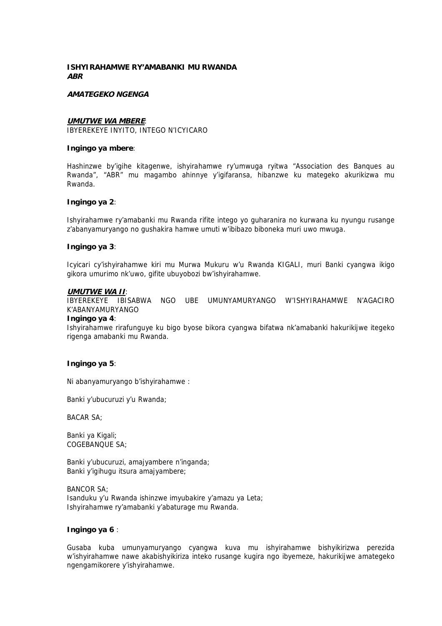### **ISHYIRAHAMWE RY'AMABANKI MU RWANDA ABR**

#### **AMATEGEKO NGENGA**

### **UMUTWE WA MBERE**:

IBYEREKEYE INYITO, INTEGO N'ICYICARO

#### **Ingingo ya mbere**:

Hashinzwe by'igihe kitagenwe, ishyirahamwe ry'umwuga ryitwa "Association des Banques au Rwanda", "ABR" mu magambo ahinnye y'igifaransa, hibanzwe ku mategeko akurikizwa mu Rwanda.

#### **Ingingo ya 2**:

Ishyirahamwe ry'amabanki mu Rwanda rifite intego yo guharanira no kurwana ku nyungu rusange z'abanyamuryango no gushakira hamwe umuti w'ibibazo biboneka muri uwo mwuga.

#### **Ingingo ya 3**:

Icyicari cy'ishyirahamwe kiri mu Murwa Mukuru w'u Rwanda KIGALI, muri Banki cyangwa ikigo gikora umurimo nk'uwo, gifite ubuyobozi bw'ishyirahamwe.

#### **UMUTWE WA II**:

IBYEREKEYE IBISABWA NGO UBE UMUNYAMURYANGO W'ISHYIRAHAMWE N'AGACIRO K'ABANYAMURYANGO

#### **Ingingo ya 4**:

Ishyirahamwe rirafunguye ku bigo byose bikora cyangwa bifatwa nk'amabanki hakurikijwe itegeko rigenga amabanki mu Rwanda.

#### **Ingingo ya 5**:

Ni abanyamuryango b'ishyirahamwe :

Banki y'ubucuruzi y'u Rwanda;

BACAR SA;

Banki ya Kigali; COGEBANQUE SA;

Banki y'ubucuruzi, amajyambere n'inganda; Banki y'igihugu itsura amajyambere;

BANCOR SA; Isanduku y'u Rwanda ishinzwe imyubakire y'amazu ya Leta; Ishyirahamwe ry'amabanki y'abaturage mu Rwanda.

#### **Ingingo ya 6** :

Gusaba kuba umunyamuryango cyangwa kuva mu ishyirahamwe bishyikirizwa perezida w'ishyirahamwe nawe akabishyikiriza inteko rusange kugira ngo ibyemeze, hakurikijwe amategeko ngengamikorere y'ishyirahamwe.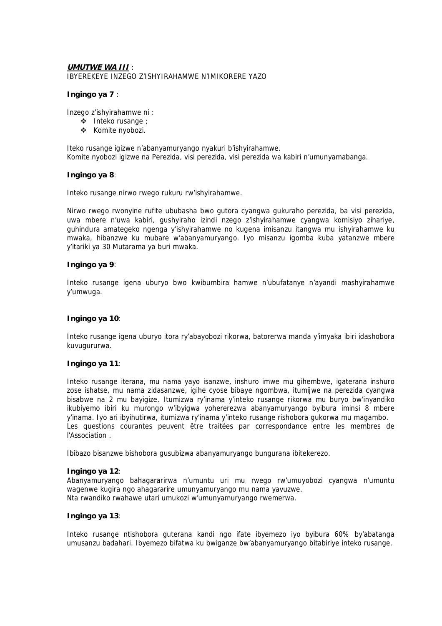### **UMUTWE WA III** : IBYEREKEYE INZEGO Z'ISHYIRAHAMWE N'IMIKORERE YAZO

### **Ingingo ya 7** :

Inzego z'ishyirahamwe ni :

- Inteko rusange ;
- \* Komite nyobozi.

Iteko rusange igizwe n'abanyamuryango nyakuri b'ishyirahamwe. Komite nyobozi igizwe na Perezida, visi perezida, visi perezida wa kabiri n'umunyamabanga.

#### **Ingingo ya 8**:

Inteko rusange nirwo rwego rukuru rw'ishyirahamwe.

Nirwo rwego rwonyine rufite ububasha bwo gutora cyangwa gukuraho perezida, ba visi perezida, uwa mbere n'uwa kabiri, gushyiraho izindi nzego z'ishyirahamwe cyangwa komisiyo zihariye, guhindura amategeko ngenga y'ishyirahamwe no kugena imisanzu itangwa mu ishyirahamwe ku mwaka, hibanzwe ku mubare w'abanyamuryango. Iyo misanzu igomba kuba yatanzwe mbere y'itariki ya 30 Mutarama ya buri mwaka.

### **Ingingo ya 9**:

Inteko rusange igena uburyo bwo kwibumbira hamwe n'ubufatanye n'ayandi mashyirahamwe y'umwuga.

### **Ingingo ya 10**:

Inteko rusange igena uburyo itora ry'abayobozi rikorwa, batorerwa manda y'imyaka ibiri idashobora kuvugururwa.

### **Ingingo ya 11**:

Inteko rusange iterana, mu nama yayo isanzwe, inshuro imwe mu gihembwe, igaterana inshuro zose ishatse, mu nama zidasanzwe, igihe cyose bibaye ngombwa, itumijwe na perezida cyangwa bisabwe na 2 mu bayigize. Itumizwa ry'inama y'inteko rusange rikorwa mu buryo bw'inyandiko ikubiyemo ibiri ku murongo w'ibyigwa yohererezwa abanyamuryango byibura iminsi 8 mbere y'inama. Iyo ari ibyihutirwa, itumizwa ry'inama y'inteko rusange rishobora gukorwa mu magambo. Les questions courantes peuvent être traitées par correspondance entre les membres de l'Association .

Ibibazo bisanzwe bishobora gusubizwa abanyamuryango bungurana ibitekerezo.

#### **Ingingo ya 12**:

Abanyamuryango bahagararirwa n'umuntu uri mu rwego rw'umuyobozi cyangwa n'umuntu wagenwe kugira ngo ahagararire umunyamuryango mu nama yavuzwe. Nta rwandiko rwahawe utari umukozi w'umunyamuryango rwemerwa.

#### **Ingingo ya 13**:

Inteko rusange ntishobora guterana kandi ngo ifate ibyemezo iyo byibura 60% by'abatanga umusanzu badahari. Ibyemezo bifatwa ku bwiganze bw'abanyamuryango bitabiriye inteko rusange.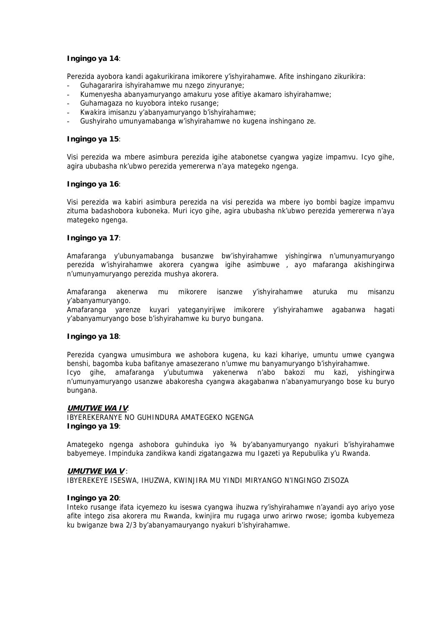### **Ingingo ya 14**:

Perezida ayobora kandi agakurikirana imikorere y'ishyirahamwe. Afite inshingano zikurikira:

- Guhagararira ishyirahamwe mu nzego zinyuranye;
- Kumenyesha abanyamuryango amakuru yose afitiye akamaro ishyirahamwe;
- Guhamagaza no kuyobora inteko rusange;
- Kwakira imisanzu y'abanyamuryango b'ishyirahamwe;
- Gushyiraho umunyamabanga w'ishyirahamwe no kugena inshingano ze.

### **Ingingo ya 15**:

Visi perezida wa mbere asimbura perezida igihe atabonetse cyangwa yagize impamvu. Icyo gihe, agira ububasha nk'ubwo perezida yemererwa n'aya mategeko ngenga.

### **Ingingo ya 16**:

Visi perezida wa kabiri asimbura perezida na visi perezida wa mbere iyo bombi bagize impamvu zituma badashobora kuboneka. Muri icyo gihe, agira ububasha nk'ubwo perezida yemererwa n'aya mategeko ngenga.

#### **Ingingo ya 17**:

Amafaranga y'ubunyamabanga busanzwe bw'ishyirahamwe yishingirwa n'umunyamuryango perezida w'ishyirahamwe akorera cyangwa igihe asimbuwe , ayo mafaranga akishingirwa n'umunyamuryango perezida mushya akorera.

Amafaranga akenerwa mu mikorere isanzwe y'ishyirahamwe aturuka mu misanzu y'abanyamuryango.

Amafaranga yarenze kuyari yateganyirijwe imikorere y'ishyirahamwe agabanwa hagati y'abanyamuryango bose b'ishyirahamwe ku buryo bungana.

### **Ingingo ya 18**:

Perezida cyangwa umusimbura we ashobora kugena, ku kazi kihariye, umuntu umwe cyangwa benshi, bagomba kuba bafitanye amasezerano n'umwe mu banyamuryango b'ishyirahamwe. Icyo gihe, amafaranga y'ubutumwa yakenerwa n'abo bakozi mu kazi, yishingirwa n'umunyamuryango usanzwe abakoresha cyangwa akagabanwa n'abanyamuryango bose ku buryo bungana.

#### **UMUTWE WA IV**:

IBYEREKERANYE NO GUHINDURA AMATEGEKO NGENGA **Ingingo ya 19**:

Amategeko ngenga ashobora guhinduka iyo 34 by'abanyamuryango nyakuri b'ishyirahamwe babyemeye. Impinduka zandikwa kandi zigatangazwa mu Igazeti ya Repubulika y'u Rwanda.

#### **UMUTWE WA V** :

IBYEREKEYE ISESWA, IHUZWA, KWINJIRA MU YINDI MIRYANGO N'INGINGO ZISOZA

#### **Ingingo ya 20**:

Inteko rusange ifata icyemezo ku iseswa cyangwa ihuzwa ry'ishyirahamwe n'ayandi ayo ariyo yose afite intego zisa akorera mu Rwanda, kwinjira mu rugaga urwo arirwo rwose; igomba kubyemeza ku bwiganze bwa 2/3 by'abanyamauryango nyakuri b'ishyirahamwe.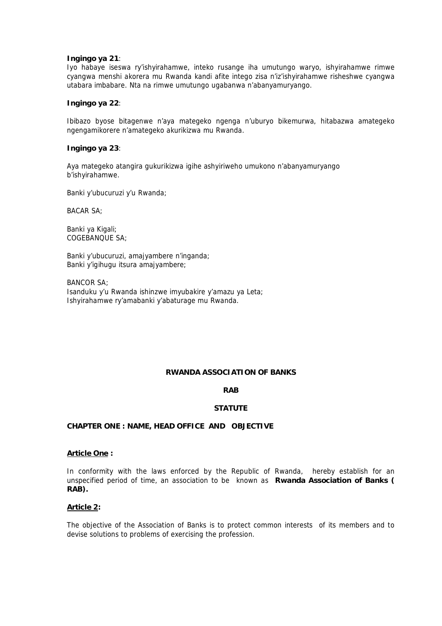#### **Ingingo ya 21**:

Iyo habaye iseswa ry'ishyirahamwe, inteko rusange iha umutungo waryo, ishyirahamwe rimwe cyangwa menshi akorera mu Rwanda kandi afite intego zisa n'iz'ishyirahamwe risheshwe cyangwa utabara imbabare. Nta na rimwe umutungo ugabanwa n'abanyamuryango.

#### **Ingingo ya 22**:

Ibibazo byose bitagenwe n'aya mategeko ngenga n'uburyo bikemurwa, hitabazwa amategeko ngengamikorere n'amategeko akurikizwa mu Rwanda.

#### **Ingingo ya 23**:

Aya mategeko atangira gukurikizwa igihe ashyiriweho umukono n'abanyamuryango b'ishyirahamwe.

Banki y'ubucuruzi y'u Rwanda;

BACAR SA;

Banki ya Kigali; COGEBANQUE SA;

Banki y'ubucuruzi, amajyambere n'inganda; Banki y'igihugu itsura amajyambere;

BANCOR SA; Isanduku y'u Rwanda ishinzwe imyubakire y'amazu ya Leta; Ishyirahamwe ry'amabanki y'abaturage mu Rwanda.

#### **RWANDA ASSOCIATION OF BANKS**

#### **RAB**

#### **STATUTE**

### **CHAPTER ONE : NAME, HEAD OFFICE AND OBJECTIVE**

### **Article One :**

In conformity with the laws enforced by the Republic of Rwanda, hereby establish for an unspecified period of time, an association to be known as **Rwanda Association of Banks ( RAB).**

### **Article 2:**

The objective of the Association of Banks is to protect common interests of its members and to devise solutions to problems of exercising the profession.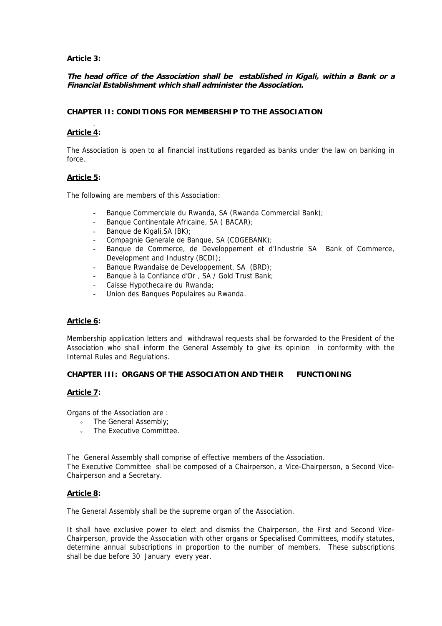### **Article 3:**

### **The head office of the Association shall be established in Kigali, within a Bank or a Financial Establishment which shall administer the Association.**

### **CHAPTER II: CONDITIONS FOR MEMBERSHIP TO THE ASSOCIATION**

### **Article 4:**

.

The Association is open to all financial institutions regarded as banks under the law on banking in force.

### **Article 5:**

The following are members of this Association:

- Banque Commerciale du Rwanda, SA (Rwanda Commercial Bank);
- Banque Continentale Africaine, SA ( BACAR);
- Banque de Kigali, SA (BK);
- Compagnie Generale de Banque, SA (COGEBANK);
- Banque de Commerce, de Developpement et d'Industrie SA Bank of Commerce, Development and Industry (BCDI);
- Banque Rwandaise de Developpement, SA (BRD);
- Banque à la Confiance d'Or, SA / Gold Trust Bank;
- Caisse Hypothecaire du Rwanda;
- Union des Banques Populaires au Rwanda.

### **Article 6:**

Membership application letters and withdrawal requests shall be forwarded to the President of the Association who shall inform the General Assembly to give its opinion in conformity with the Internal Rules and Regulations.

### **CHAPTER III: ORGANS OF THE ASSOCIATION AND THEIR FUNCTIONING**

#### **Article 7:**

Organs of the Association are :

- The General Assembly:
- The Executive Committee.

The General Assembly shall comprise of effective members of the Association. The Executive Committee shall be composed of a Chairperson, a Vice-Chairperson, a Second Vice-Chairperson and a Secretary.

#### **Article 8:**

The General Assembly shall be the supreme organ of the Association.

It shall have exclusive power to elect and dismiss the Chairperson, the First and Second Vice-Chairperson, provide the Association with other organs or Specialised Committees, modify statutes, determine annual subscriptions in proportion to the number of members. These subscriptions shall be due before 30 January every year.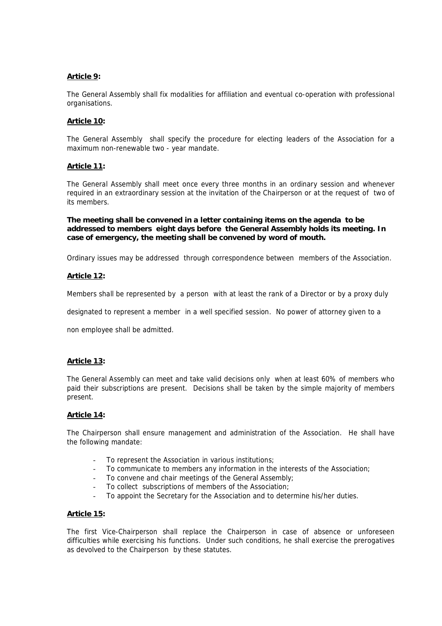### **Article 9:**

The General Assembly shall fix modalities for affiliation and eventual co-operation with professional organisations.

### **Article 10:**

The General Assembly shall specify the procedure for electing leaders of the Association for a maximum non-renewable two - year mandate.

#### **Article 11:**

The General Assembly shall meet once every three months in an ordinary session and whenever required in an extraordinary session at the invitation of the Chairperson or at the request of two of its members.

**The meeting shall be convened in a letter containing items on the agenda to be addressed to members eight days before the General Assembly holds its meeting. In case of emergency, the meeting shall be convened by word of mouth.** 

Ordinary issues may be addressed through correspondence between members of the Association.

#### **Article 12:**

Members shall be represented by a person with at least the rank of a Director or by a proxy duly

designated to represent a member in a well specified session. No power of attorney given to a

non employee shall be admitted.

#### **Article 13:**

The General Assembly can meet and take valid decisions only when at least 60% of members who paid their subscriptions are present. Decisions shall be taken by the simple majority of members present.

#### **Article 14:**

The Chairperson shall ensure management and administration of the Association. He shall have the following mandate:

- To represent the Association in various institutions;
- To communicate to members any information in the interests of the Association;
- To convene and chair meetings of the General Assembly;
- To collect subscriptions of members of the Association;
- To appoint the Secretary for the Association and to determine his/her duties.

#### **Article 15:**

The first Vice-Chairperson shall replace the Chairperson in case of absence or unforeseen difficulties while exercising his functions. Under such conditions, he shall exercise the prerogatives as devolved to the Chairperson by these statutes.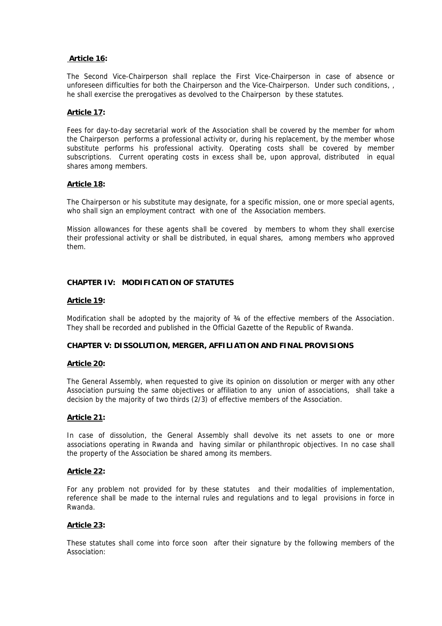### **Article 16:**

The Second Vice-Chairperson shall replace the First Vice-Chairperson in case of absence or unforeseen difficulties for both the Chairperson and the Vice-Chairperson. Under such conditions, , he shall exercise the prerogatives as devolved to the Chairperson by these statutes.

### **Article 17:**

Fees for day-to-day secretarial work of the Association shall be covered by the member for whom the Chairperson performs a professional activity or, during his replacement, by the member whose substitute performs his professional activity. Operating costs shall be covered by member subscriptions. Current operating costs in excess shall be, upon approval, distributed in equal shares among members.

#### **Article 18:**

The Chairperson or his substitute may designate, for a specific mission, one or more special agents, who shall sign an employment contract with one of the Association members.

Mission allowances for these agents shall be covered by members to whom they shall exercise their professional activity or shall be distributed, in equal shares, among members who approved them.

### **CHAPTER IV: MODIFICATION OF STATUTES**

#### **Article 19:**

Modification shall be adopted by the majority of 34 of the effective members of the Association. They shall be recorded and published in the Official Gazette of the Republic of Rwanda.

#### **CHAPTER V: DISSOLUTION, MERGER, AFFILIATION AND FINAL PROVISIONS**

#### **Article 20:**

The General Assembly, when requested to give its opinion on dissolution or merger with any other Association pursuing the same objectives or affiliation to any union of associations, shall take a decision by the majority of two thirds (2/3) of effective members of the Association.

#### **Article 21:**

In case of dissolution, the General Assembly shall devolve its net assets to one or more associations operating in Rwanda and having similar or philanthropic objectives. In no case shall the property of the Association be shared among its members.

#### **Article 22:**

For any problem not provided for by these statutes and their modalities of implementation, reference shall be made to the internal rules and regulations and to legal provisions in force in Rwanda.

#### **Article 23:**

These statutes shall come into force soon after their signature by the following members of the Association: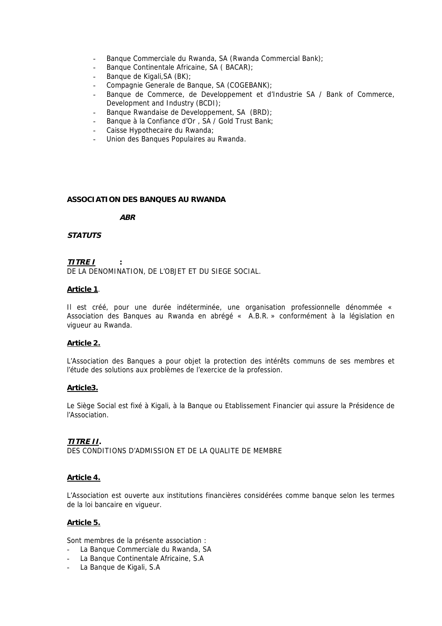- Banque Commerciale du Rwanda, SA (Rwanda Commercial Bank);
- Banque Continentale Africaine, SA ( BACAR);
- Banque de Kigali, SA (BK);
- Compagnie Generale de Banque, SA (COGEBANK);
- Banque de Commerce, de Developpement et d'Industrie SA / Bank of Commerce, Development and Industry (BCDI);
- Banque Rwandaise de Developpement, SA (BRD);
- Banque à la Confiance d'Or, SA / Gold Trust Bank;
- Caisse Hypothecaire du Rwanda;
- Union des Banques Populaires au Rwanda.

### **ASSOCIATION DES BANQUES AU RWANDA**

**ABR** 

### **STATUTS**

### **TITRE I :**

DE LA DENOMINATION, DE L'OBJET ET DU SIEGE SOCIAL.

### **Article 1**.

Il est créé, pour une durée indéterminée, une organisation professionnelle dénommée « Association des Banques au Rwanda en abrégé « A.B.R. » conformément à la législation en vigueur au Rwanda.

### **Article 2.**

L'Association des Banques a pour objet la protection des intérêts communs de ses membres et l'étude des solutions aux problèmes de l'exercice de la profession.

#### **Article3.**

Le Siège Social est fixé à Kigali, à la Banque ou Etablissement Financier qui assure la Présidence de l'Association.

### **TITRE II.**

DES CONDITIONS D'ADMISSION ET DE LA QUALITE DE MEMBRE

### **Article 4.**

L'Association est ouverte aux institutions financières considérées comme banque selon les termes de la loi bancaire en vigueur.

#### **Article 5.**

Sont membres de la présente association :

- La Banque Commerciale du Rwanda, SA
- La Banque Continentale Africaine, S.A.
- La Banque de Kigali, S.A.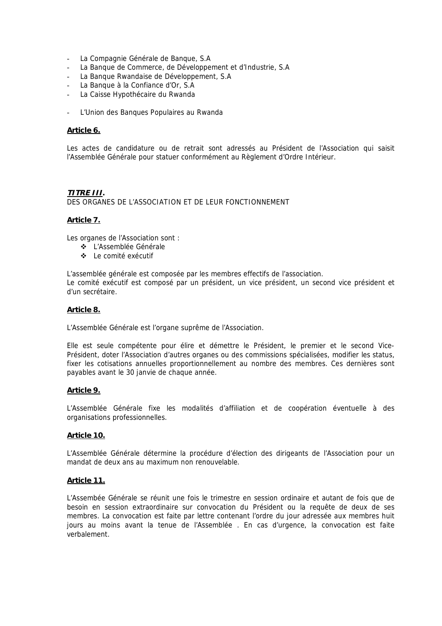- La Compagnie Générale de Banque, S.A.
- La Banque de Commerce, de Développement et d'Industrie, S.A
- La Banque Rwandaise de Développement, S.A
- La Banque à la Confiance d'Or, S.A
- La Caisse Hypothécaire du Rwanda
- L'Union des Banques Populaires au Rwanda

#### **Article 6.**

Les actes de candidature ou de retrait sont adressés au Président de l'Association qui saisit l'Assemblée Générale pour statuer conformément au Règlement d'Ordre Intérieur.

#### **TITRE III.**

DES ORGANES DE L'ASSOCIATION ET DE LEUR FONCTIONNEMENT

### **Article 7.**

Les organes de l'Association sont :

- L'Assemblée Générale
- Le comité exécutif

L'assemblée générale est composée par les membres effectifs de l'association. Le comité exécutif est composé par un président, un vice président, un second vice président et d'un secrétaire.

#### **Article 8.**

L'Assemblée Générale est l'organe suprême de l'Association.

Elle est seule compétente pour élire et démettre le Président, le premier et le second Vice-Président, doter l'Association d'autres organes ou des commissions spécialisées, modifier les status, fixer les cotisations annuelles proportionnellement au nombre des membres. Ces dernières sont payables avant le 30 janvie de chaque année.

#### **Article 9.**

L'Assemblée Générale fixe les modalités d'affiliation et de coopération éventuelle à des organisations professionnelles.

#### **Article 10.**

L'Assemblée Générale détermine la procédure d'élection des dirigeants de l'Association pour un mandat de deux ans au maximum non renouvelable.

#### **Article 11.**

L'Assembée Générale se réunit une fois le trimestre en session ordinaire et autant de fois que de besoin en session extraordinaire sur convocation du Président ou la requête de deux de ses membres. La convocation est faite par lettre contenant l'ordre du jour adressée aux membres huit jours au moins avant la tenue de l'Assemblée . En cas d'urgence, la convocation est faite verbalement.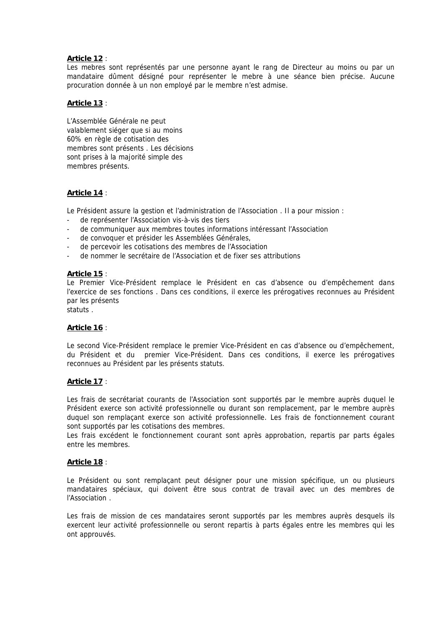### **Article 12** :

Les mebres sont représentés par une personne ayant le rang de Directeur au moins ou par un mandataire dûment désigné pour représenter le mebre à une séance bien précise. Aucune procuration donnée à un non employé par le membre n'est admise.

### **Article 13** :

L'Assemblée Générale ne peut valablement siéger que si au moins 60% en règle de cotisation des membres sont présents . Les décisions sont prises à la majorité simple des membres présents.

### **Article 14** :

Le Président assure la gestion et l'administration de l'Association . Il a pour mission :

- de représenter l'Association vis-à-vis des tiers
- de communiquer aux membres toutes informations intéressant l'Association
- de convoquer et présider les Assemblées Générales,
- de percevoir les cotisations des membres de l'Association
- de nommer le secrétaire de l'Association et de fixer ses attributions

### **Article 15** :

Le Premier Vice-Président remplace le Président en cas d'absence ou d'empêchement dans l'exercice de ses fonctions . Dans ces conditions, il exerce les prérogatives reconnues au Président par les présents

statuts .

#### **Article 16** :

Le second Vice-Président remplace le premier Vice-Président en cas d'absence ou d'empêchement, du Président et du premier Vice-Président. Dans ces conditions, il exerce les prérogatives reconnues au Président par les présents statuts.

#### **Article 17** :

Les frais de secrétariat courants de l'Association sont supportés par le membre auprès duquel le Président exerce son activité professionnelle ou durant son remplacement, par le membre auprès duquel son remplaçant exerce son activité professionnelle. Les frais de fonctionnement courant sont supportés par les cotisations des membres.

Les frais excédent le fonctionnement courant sont après approbation, repartis par parts égales entre les membres.

#### **Article 18** :

Le Président ou sont remplaçant peut désigner pour une mission spécifique, un ou plusieurs mandataires spéciaux, qui doivent être sous contrat de travail avec un des membres de l'Association .

Les frais de mission de ces mandataires seront supportés par les membres auprès desquels ils exercent leur activité professionnelle ou seront repartis à parts égales entre les membres qui les ont approuvés.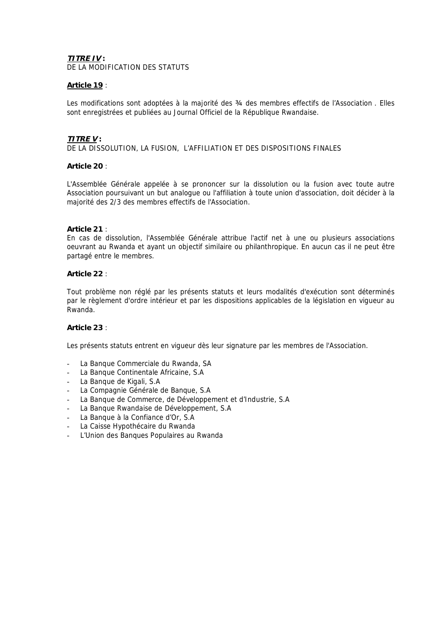#### **TITRE IV :**

DE LA MODIFICATION DES STATUTS

### **Article 19** :

Les modifications sont adoptées à la majorité des  $\frac{3}{4}$  des membres effectifs de l'Association . Elles sont enregistrées et publiées au Journal Officiel de la République Rwandaise.

### **TITRE V :**

DE LA DISSOLUTION, LA FUSION, L'AFFILIATION ET DES DISPOSITIONS FINALES

#### **Article 20** :

L'Assemblée Générale appelée à se prononcer sur la dissolution ou la fusion avec toute autre Association poursuivant un but analogue ou l'affiliation à toute union d'association, doit décider à la majorité des 2/3 des membres effectifs de l'Association.

#### **Article 21** :

En cas de dissolution, l'Assemblée Générale attribue l'actif net à une ou plusieurs associations oeuvrant au Rwanda et ayant un objectif similaire ou philanthropique. En aucun cas il ne peut être partagé entre le membres.

### **Article 22** :

Tout problème non réglé par les présents statuts et leurs modalités d'exécution sont déterminés par le règlement d'ordre intérieur et par les dispositions applicables de la législation en vigueur au Rwanda.

#### **Article 23** :

Les présents statuts entrent en vigueur dès leur signature par les membres de l'Association.

- La Banque Commerciale du Rwanda, SA
- La Banque Continentale Africaine, S.A
- La Banque de Kigali, S.A.
- La Compagnie Générale de Banque, S.A
- La Banque de Commerce, de Développement et d'Industrie, S.A
- La Banque Rwandaise de Développement, S.A
- La Banque à la Confiance d'Or, S.A
- La Caisse Hypothécaire du Rwanda
- L'Union des Banques Populaires au Rwanda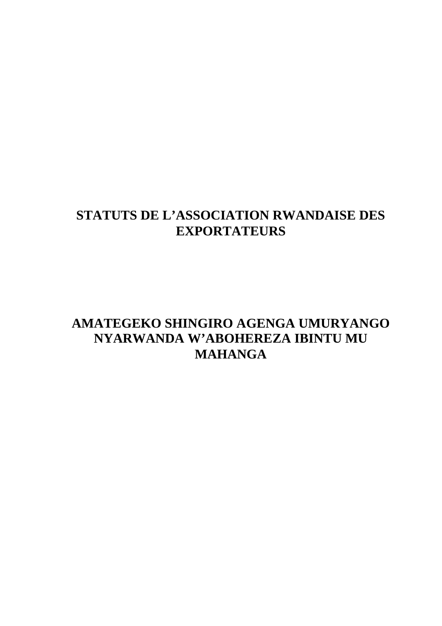# **STATUTS DE L'ASSOCIATION RWANDAISE DES EXPORTATEURS**

# **AMATEGEKO SHINGIRO AGENGA UMURYANGO NYARWANDA W'ABOHEREZA IBINTU MU MAHANGA**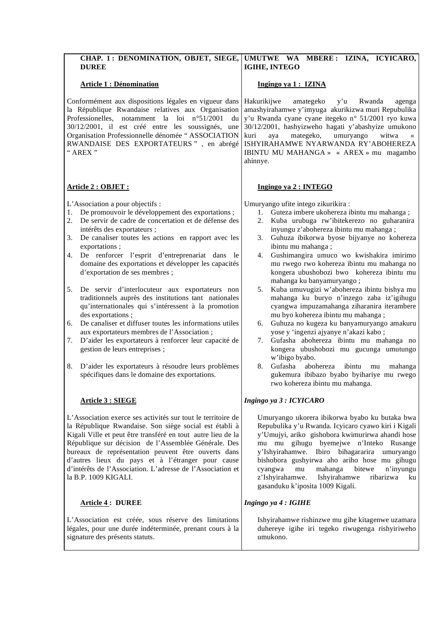| CHAP. 1: DENOMINATION, OBJET, SIEGE,<br><b>DUREE</b>                                                                                                                                                                                                                                                                                                                                                                                                                                                                                                                                                                                                                                                                                                                                                                                                                                                                                               | UMUTWE WA MBERE: IZINA, ICYICARO,<br>IGIHE, INTEGO                                                                                                                                                                                                                                                                                                                                                                                                                                                                                                                                                                                                                                                                                                                                                                                                                                                                                                                              |
|----------------------------------------------------------------------------------------------------------------------------------------------------------------------------------------------------------------------------------------------------------------------------------------------------------------------------------------------------------------------------------------------------------------------------------------------------------------------------------------------------------------------------------------------------------------------------------------------------------------------------------------------------------------------------------------------------------------------------------------------------------------------------------------------------------------------------------------------------------------------------------------------------------------------------------------------------|---------------------------------------------------------------------------------------------------------------------------------------------------------------------------------------------------------------------------------------------------------------------------------------------------------------------------------------------------------------------------------------------------------------------------------------------------------------------------------------------------------------------------------------------------------------------------------------------------------------------------------------------------------------------------------------------------------------------------------------------------------------------------------------------------------------------------------------------------------------------------------------------------------------------------------------------------------------------------------|
| <b>Article 1 : Dénomination</b>                                                                                                                                                                                                                                                                                                                                                                                                                                                                                                                                                                                                                                                                                                                                                                                                                                                                                                                    | Ingingo ya 1 : IZINA                                                                                                                                                                                                                                                                                                                                                                                                                                                                                                                                                                                                                                                                                                                                                                                                                                                                                                                                                            |
| Conformément aux dispositions légales en vigueur dans<br>la République Rwandaise relatives aux Organisation<br>Professionelles, notamment la loi n°51/2001<br>du<br>30/12/2001, il est créé entre les soussignés, une<br>Organisation Professionnelle dénomée "ASSOCIATION<br>RWANDAISE DES EXPORTATEURS", en abrégé<br>" AREX "                                                                                                                                                                                                                                                                                                                                                                                                                                                                                                                                                                                                                   | Hakurikijwe<br>amategeko<br>y'u<br>Rwanda<br>agenga<br>amashyirahamwe y'imyuga akurikizwa muri Repubulika<br>y'u Rwanda cyane cyane itegeko n° 51/2001 ryo kuwa<br>30/12/2001, hashyizweho hagati y'abashyize umukono<br>kuri<br>mategeko,<br>umuryango<br>witwa<br>aya<br>$\ll$<br>ISHYIRAHAMWE NYARWANDA RY'ABOHEREZA<br>IBINTU MU MAHANGA » « AREX » mu magambo<br>ahinnye.                                                                                                                                                                                                                                                                                                                                                                                                                                                                                                                                                                                                  |
| Article 2 : OBJET :                                                                                                                                                                                                                                                                                                                                                                                                                                                                                                                                                                                                                                                                                                                                                                                                                                                                                                                                | Ingingo ya 2 : INTEGO                                                                                                                                                                                                                                                                                                                                                                                                                                                                                                                                                                                                                                                                                                                                                                                                                                                                                                                                                           |
| L'Association a pour objectifs :<br>De promouvoir le développement des exportations ;<br>1.<br>2.<br>De servir de cadre de concertation et de défense des<br>intérêts des exportateurs ;<br>3.<br>De canaliser toutes les actions en rapport avec les<br>exportations;<br>De renforcer l'esprit d'entreprenariat dans le<br>4.<br>domaine des exportations et développer les capacités<br>d'exportation de ses membres ;<br>5.<br>De servir d'interlocuteur aux exportateurs non<br>traditionnels auprès des institutions tant nationales<br>qu'internationales qui s'intéressent à la promotion<br>des exportations;<br>De canaliser et diffuser toutes les informations utiles<br>6.<br>aux exportateurs membres de l'Association;<br>D'aider les exportateurs à renforcer leur capacité de<br>7.<br>gestion de leurs entreprises;<br>D'aider les exportateurs à résoudre leurs problèmes<br>8.<br>spécifiques dans le domaine des exportations. | Umuryango ufite intego zikurikira:<br>Guteza imbere ukohereza ibintu mu mahanga;<br>1.<br>Kuba urubuga rw'ibitekerezo no guharanira<br>2.<br>inyungu z'abohereza ibintu mu mahanga;<br>Guhuza ibikorwa byose bijyanye no kohereza<br>3.<br>ibintu mu mahanga;<br>Gushimangira umuco wo kwishakira imirimo<br>4.<br>mu rwego rwo kohereza ibintu mu mahanga no<br>kongera ubushobozi bwo kohereza ibintu mu<br>mahanga ku banyamuryango;<br>Kuba umuvugizi w'abohereza ibintu bishya mu<br>5.<br>mahanga ku buryo n'inzego zaba iz'igihugu<br>cyangwa impuzamahanga ziharanira iterambere<br>mu byo kohereza ibintu mu mahanga;<br>Guhuza no kugeza ku banyamuryango amakuru<br>6.<br>yose y 'ingenzi ajyanye n'akazi kabo;<br>Gufasha abohereza ibintu mu mahanga no<br>7.<br>kongera ubushobozi mu gucunga umutungo<br>w'ibigo byabo.<br>abohereza<br>8.<br>Gufasha<br>ibintu<br>mahanga<br>mu<br>gukemura ibibazo byabo byihariye mu rwego<br>rwo kohereza ibintu mu mahanga. |
| <b>Article 3 : SIEGE</b>                                                                                                                                                                                                                                                                                                                                                                                                                                                                                                                                                                                                                                                                                                                                                                                                                                                                                                                           | Ingingo ya 3 : ICYICARO                                                                                                                                                                                                                                                                                                                                                                                                                                                                                                                                                                                                                                                                                                                                                                                                                                                                                                                                                         |
| L'Association exerce ses activités sur tout le territoire de<br>la République Rwandaise. Son siège social est établi à<br>Kigali Ville et peut être transféré en tout autre lieu de la<br>République sur décision de l'Assemblée Générale. Des<br>bureaux de représentation peuvent être ouverts dans<br>d'autres lieux du pays et à l'étranger pour cause<br>d'intérêts de l'Association. L'adresse de l'Association et<br>la B.P. 1009 KIGALI.                                                                                                                                                                                                                                                                                                                                                                                                                                                                                                   | Umuryango ukorera ibikorwa byabo ku butaka bwa<br>Repubulika y'u Rwanda. Icyicaro cyawo kiri i Kigali<br>y'Umujyi, ariko gishobora kwimurirwa ahandi hose<br>mu mu gihugu byemejwe n'Inteko Rusange<br>y'Ishyirahamwe. Ibiro bihagararira<br>umuryango<br>bishobora gushyirwa aho ariho hose mu gihugu<br>mahanga<br>bitewe<br>n'inyungu<br>cyangwa<br>mu<br>z'Ishyirahamwe.<br>Ishyirahamwe<br>ribarizwa<br>ku<br>gasanduku k'iposita 1009 Kigali.                                                                                                                                                                                                                                                                                                                                                                                                                                                                                                                             |
| <b>Article 4: DUREE</b>                                                                                                                                                                                                                                                                                                                                                                                                                                                                                                                                                                                                                                                                                                                                                                                                                                                                                                                            | Ingingo ya 4 : IGIHE                                                                                                                                                                                                                                                                                                                                                                                                                                                                                                                                                                                                                                                                                                                                                                                                                                                                                                                                                            |
| L'Association est créée, sous réserve des limitations<br>légales, pour une durée indéterminée, prenant cours à la<br>signature des présents statuts.                                                                                                                                                                                                                                                                                                                                                                                                                                                                                                                                                                                                                                                                                                                                                                                               | Ishyirahamwe rishinzwe mu gihe kitagenwe uzamara<br>duhereye igihe iri tegeko riwugenga rishyiriweho<br>umukono.                                                                                                                                                                                                                                                                                                                                                                                                                                                                                                                                                                                                                                                                                                                                                                                                                                                                |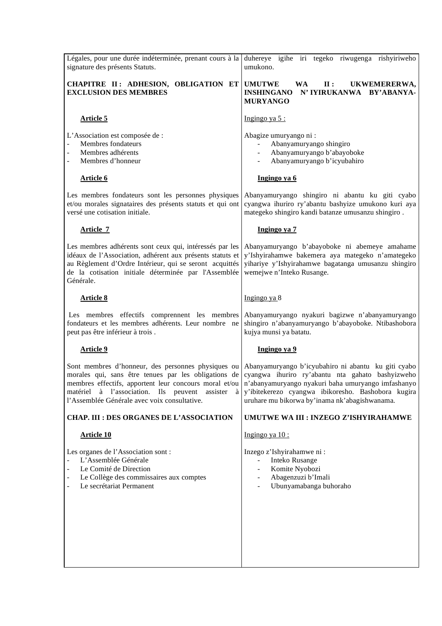| Légales, pour une durée indéterminée, prenant cours à la<br>signature des présents Statuts.                                                                                                                                                                                                                       | duhereye igihe iri tegeko riwugenga rishyiriweho<br>umukono.                                                                                                                                                       |
|-------------------------------------------------------------------------------------------------------------------------------------------------------------------------------------------------------------------------------------------------------------------------------------------------------------------|--------------------------------------------------------------------------------------------------------------------------------------------------------------------------------------------------------------------|
| CHAPITRE II: ADHESION, OBLIGATION ET<br><b>EXCLUSION DES MEMBRES</b>                                                                                                                                                                                                                                              | <b>UMUTWE</b><br><b>WA</b><br>$\mathbf{II}$ :<br>UKWEMERERWA,<br>N' IYIRUKANWA<br><b>INSHINGANO</b><br>BY'ABANYA-<br><b>MURYANGO</b>                                                                               |
| <b>Article 5</b>                                                                                                                                                                                                                                                                                                  | Ingingo ya 5:                                                                                                                                                                                                      |
| L'Association est composée de :<br>Membres fondateurs<br>$\frac{1}{2}$<br>Membres adhérents<br>Membres d'honneur<br>$\overline{a}$                                                                                                                                                                                | Abagize umuryango ni:<br>Abanyamuryango shingiro<br>Abanyamuryango b'abayoboke<br>Abanyamuryango b'icyubahiro                                                                                                      |
| <b>Article 6</b>                                                                                                                                                                                                                                                                                                  | Ingingo ya 6                                                                                                                                                                                                       |
| Les membres fondateurs sont les personnes physiques<br>et/ou morales signataires des présents statuts et qui ont<br>versé une cotisation initiale.                                                                                                                                                                | Abanyamuryango shingiro ni abantu ku giti cyabo<br>cyangwa ihuriro ry'abantu bashyize umukono kuri aya<br>mategeko shingiro kandi batanze umusanzu shingiro.                                                       |
| <b>Article 7</b>                                                                                                                                                                                                                                                                                                  | Ingingo ya 7                                                                                                                                                                                                       |
| Les membres adhérents sont ceux qui, intéressés par les<br>idéaux de l'Association, adhérent aux présents statuts et<br>au Règlement d'Ordre Intérieur, qui se seront acquittés<br>de la cotisation initiale déterminée par l'Assemblée<br>Générale.                                                              | Abanyamuryango b'abayoboke ni abemeye amahame<br>y'Ishyirahamwe bakemera aya mategeko n'amategeko<br>yihariye y'Ishyirahamwe bagatanga umusanzu shingiro<br>wemejwe n'Inteko Rusange.                              |
| <b>Article 8</b>                                                                                                                                                                                                                                                                                                  | Ingingo ya $8$                                                                                                                                                                                                     |
| Les membres effectifs comprennent les membres<br>fondateurs et les membres adhérents. Leur nombre ne<br>peut pas être inférieur à trois.                                                                                                                                                                          | Abanyamuryango nyakuri bagizwe n'abanyamuryango<br>shingiro n'abanyamuryango b'abayoboke. Ntibashobora<br>kujya munsi ya batatu.                                                                                   |
| <b>Article 9</b>                                                                                                                                                                                                                                                                                                  | Ingingo ya 9                                                                                                                                                                                                       |
| Sont membres d'honneur, des personnes physiques ou Abanyamuryango b'icyubahiro ni abantu ku giti cyabo<br>morales qui, sans être tenues par les obligations de cyangwa ihuriro ry'abantu nta gahato bashyizweho<br>matériel à l'association. Ils peuvent assister<br>l'Assemblée Générale avec voix consultative. | membres effectifs, apportent leur concours moral et/ou n'abanyamuryango nyakuri baha umuryango imfashanyo<br>à y'ibitekerezo cyangwa ibikoresho. Bashobora kugira<br>uruhare mu bikorwa by'inama nk'abagishwanama. |
| <b>CHAP. III : DES ORGANES DE L'ASSOCIATION</b>                                                                                                                                                                                                                                                                   | UMUTWE WA III : INZEGO Z'ISHYIRAHAMWE                                                                                                                                                                              |
| <b>Article 10</b>                                                                                                                                                                                                                                                                                                 | Ingingo ya $10$ :                                                                                                                                                                                                  |
| Les organes de l'Association sont :<br>L'Assemblée Générale<br>$\overline{a}$<br>Le Comité de Direction<br>Le Collège des commissaires aux comptes<br>$\overline{\phantom{a}}$<br>Le secrétariat Permanent                                                                                                        | Inzego z'Ishyirahamwe ni :<br>Inteko Rusange<br>Komite Nyobozi<br>Abagenzuzi b'Imali<br>Ubunyamabanga buhoraho                                                                                                     |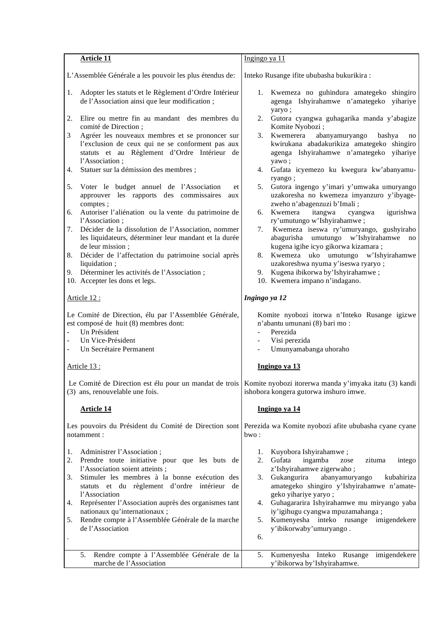| <b>Article 11</b>                                                                                                                                                                                                                                  | Ingingo ya 11                                                                                                                                                                      |
|----------------------------------------------------------------------------------------------------------------------------------------------------------------------------------------------------------------------------------------------------|------------------------------------------------------------------------------------------------------------------------------------------------------------------------------------|
| L'Assemblée Générale a les pouvoir les plus étendus de:                                                                                                                                                                                            | Inteko Rusange ifite ububasha bukurikira:                                                                                                                                          |
| Adopter les statuts et le Règlement d'Ordre Intérieur<br>1.<br>de l'Association ainsi que leur modification;                                                                                                                                       | 1. Kwemeza no guhindura amategeko shingiro<br>agenga Ishyirahamwe n'amategeko yihariye                                                                                             |
| 2.<br>Elire ou mettre fin au mandant des membres du<br>comité de Direction;                                                                                                                                                                        | yaryo;<br>2. Gutora cyangwa guhagarika manda y'abagize<br>Komite Nyobozi;                                                                                                          |
| 3<br>Agréer les nouveaux membres et se prononcer sur<br>l'exclusion de ceux qui ne se conforment pas aux<br>statuts et au Règlement d'Ordre Intérieur de<br>l'Association;                                                                         | abanyamuryango<br>Kwemerera<br>bashya<br>3.<br>no<br>kwirukana abadakurikiza amategeko shingiro<br>agenga Ishyirahamwe n'amategeko yihariye<br>yawo;                               |
| Statuer sur la démission des membres ;<br>4.                                                                                                                                                                                                       | 4. Gufata icyemezo ku kwegura kw'abanyamu-<br>ryango;                                                                                                                              |
| Voter le budget annuel de l'Association<br>5.<br>et<br>approuver les rapports des commissaires<br>aux<br>comptes;                                                                                                                                  | 5. Gutora ingengo y'imari y'umwaka umuryango<br>uzakoresha no kwemeza imyanzuro y'ibyage-<br>zweho n'abagenzuzi b'Imali;                                                           |
| Autoriser l'aliénation ou la vente du patrimoine de<br>6.<br>l'Association;                                                                                                                                                                        | Kwemera<br>itangwa<br>igurishwa<br>cyangwa<br>6.<br>ry'umutungo w'Ishyirahamwe;                                                                                                    |
| Décider de la dissolution de l'Association, nommer<br>7.<br>les liquidateurs, déterminer leur mandant et la durée<br>de leur mission;                                                                                                              | Kwemeza iseswa ry'umuryango, gushyiraho<br>7.<br>abagurisha umutungo w'Ishyirahamwe<br>no<br>kugena igihe icyo gikorwa kizamara;                                                   |
| Décider de l'affectation du patrimoine social après<br>8.<br>liquidation;                                                                                                                                                                          | Kwemeza uko umutungo w'Ishyirahamwe<br>8.<br>uzakoreshwa nyuma y'iseswa ryaryo;                                                                                                    |
| 9. Déterminer les activités de l'Association;<br>10. Accepter les dons et legs.                                                                                                                                                                    | 9. Kugena ibikorwa by'Ishyirahamwe;<br>10. Kwemera impano n'indagano.                                                                                                              |
| Article 12 :                                                                                                                                                                                                                                       | Ingingo ya 12                                                                                                                                                                      |
| Le Comité de Direction, élu par l'Assemblée Générale,<br>est composé de huit (8) membres dont:<br>Un Président<br>$\overline{\phantom{0}}$<br>Un Vice-Président<br>$\overline{\phantom{a}}$<br>Un Secrétaire Permanent<br>$\overline{\phantom{a}}$ | Komite nyobozi itorwa n'Inteko Rusange igizwe<br>n'abantu umunani (8) bari mo:<br>Perezida<br>$\overline{\phantom{a}}$<br>Visi perezida<br>$\blacksquare$<br>Umunyamabanga uhoraho |
| Article 13 :                                                                                                                                                                                                                                       | Ingingo ya 13                                                                                                                                                                      |
| (3) ans, renouvelable une fois.                                                                                                                                                                                                                    | Le Comité de Direction est élu pour un mandat de trois Komite nyobozi itorerwa manda y'imyaka itatu (3) kandi<br>ishobora kongera gutorwa inshuro imwe.                            |
| <b>Article 14</b>                                                                                                                                                                                                                                  | Ingingo ya 14                                                                                                                                                                      |
| Les pouvoirs du Président du Comité de Direction sont<br>notamment:                                                                                                                                                                                | Perezida wa Komite nyobozi afite ububasha cyane cyane<br>bwo:                                                                                                                      |
| Administrer l'Association;<br>1.<br>Prendre toute initiative pour que les buts de<br>2.<br>l'Association soient atteints ;                                                                                                                         | Kuyobora Ishyirahamwe;<br>1.<br>Gufata<br>ingamba<br>2.<br>zituma<br>zose<br>intego<br>z'Ishyirahamwe zigerwaho;                                                                   |
| Stimuler les membres à la bonne exécution des<br>3.<br>statuts et du règlement d'ordre intérieur de<br>l'Association                                                                                                                               | Gukangurira<br>abanyamuryango<br>kubahiriza<br>3.<br>amategeko shingiro y'Ishyirahamwe n'amate-<br>geko yihariye yaryo;                                                            |
| Représenter l'Association auprès des organismes tant<br>4.                                                                                                                                                                                         | Guhagararira Ishyirahamwe mu miryango yaba<br>4.                                                                                                                                   |
| nationaux qu'internationaux ;<br>Rendre compte à l'Assemblée Générale de la marche<br>5.<br>de l'Association                                                                                                                                       | iy'igihugu cyangwa mpuzamahanga;<br>Kumenyesha inteko rusange imigendekere<br>5.<br>y'ibikorwaby'umuryango.<br>6.                                                                  |
|                                                                                                                                                                                                                                                    |                                                                                                                                                                                    |
| Rendre compte à l'Assemblée Générale de la<br>5.<br>marche de l'Association                                                                                                                                                                        | Kumenyesha Inteko Rusange<br>imigendekere<br>5.<br>y'ibikorwa by'Ishyirahamwe.                                                                                                     |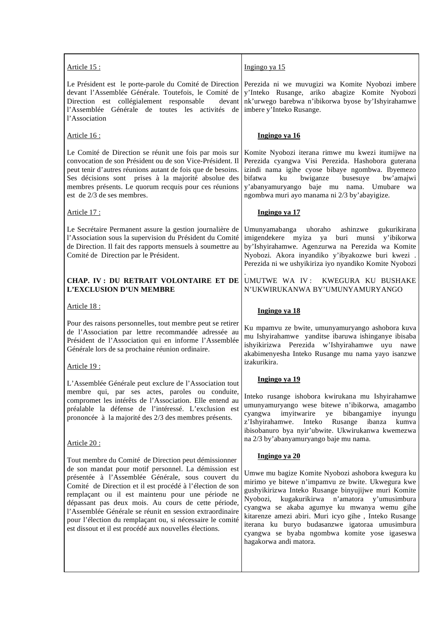| Ingingo ya 15                                                                                                                                                                                                                                                                                                                                                                                                                                            |
|----------------------------------------------------------------------------------------------------------------------------------------------------------------------------------------------------------------------------------------------------------------------------------------------------------------------------------------------------------------------------------------------------------------------------------------------------------|
| Le Président est le porte-parole du Comité de Direction<br>Perezida ni we muvugizi wa Komite Nyobozi imbere<br>y'Inteko Rusange, ariko abagize Komite Nyobozi<br>nk'urwego barebwa n'ibikorwa byose by'Ishyirahamwe<br>imbere y'Inteko Rusange.                                                                                                                                                                                                          |
| Ingingo ya 16                                                                                                                                                                                                                                                                                                                                                                                                                                            |
| Komite Nyobozi iterana rimwe mu kwezi itumijwe na<br>Perezida cyangwa Visi Perezida. Hashobora guterana<br>izindi nama igihe cyose bibaye ngombwa. Ibyemezo<br>bifatwa<br>bwiganze<br>busesuye<br>bw'amajwi<br>ku<br>y'abanyamuryango baje mu nama. Umubare<br>wa<br>ngombwa muri ayo manama ni 2/3 by'abayigize.                                                                                                                                        |
| Ingingo ya 17                                                                                                                                                                                                                                                                                                                                                                                                                                            |
| uhoraho<br>Umunyamabanga<br>ashinzwe<br>gukurikirana<br>imigendekere myiza ya buri munsi y'ibikorwa<br>by'Ishyirahamwe. Agenzurwa na Perezida wa Komite<br>Nyobozi. Akora inyandiko y'ibyakozwe buri kwezi .<br>Perezida ni we ushyikiriza iyo nyandiko Komite Nyobozi                                                                                                                                                                                   |
| UMUTWE WA IV: KWEGURA KU BUSHAKE<br>N'UKWIRUKANWA BY'UMUNYAMURYANGO                                                                                                                                                                                                                                                                                                                                                                                      |
| Ingingo ya 18                                                                                                                                                                                                                                                                                                                                                                                                                                            |
| Ku mpamvu ze bwite, umunyamuryango ashobora kuva<br>mu Ishyirahamwe yanditse ibaruwa ishinganye ibisaba<br>ishyikirizwa Perezida w'Ishyirahamwe uyu nawe<br>akabimenyesha Inteko Rusange mu nama yayo isanzwe<br>izakurikira.                                                                                                                                                                                                                            |
| Ingingo ya 19                                                                                                                                                                                                                                                                                                                                                                                                                                            |
| Inteko rusange ishobora kwirukana mu Ishyirahamwe<br>umunyamuryango wese bitewe n'ibikorwa, amagambo<br>imyitwarire<br>bibangamiye<br>cyangwa<br>ye<br>inyungu<br>z'Ishyirahamwe.<br>Inteko<br>Rusange<br>ibanza<br>kumva<br>ibisobanuro bya nyir'ubwite. Ukwirukanwa kwemezwa<br>na 2/3 by'abanyamuryango baje mu nama.                                                                                                                                 |
| Ingingo ya 20                                                                                                                                                                                                                                                                                                                                                                                                                                            |
| Umwe mu bagize Komite Nyobozi ashobora kwegura ku<br>mirimo ye bitewe n'impamvu ze bwite. Ukwegura kwe<br>gushyikirizwa Inteko Rusange binyujijwe muri Komite<br>kugakurikirwa n'amatora y'umusimbura<br>Nyobozi,<br>cyangwa se akaba agumye ku mwanya wemu gihe<br>kitarenze amezi abiri. Muri icyo gihe , Inteko Rusange<br>iterana ku buryo budasanzwe igatoraa umusimbura<br>cyangwa se byaba ngombwa komite yose igaseswa<br>hagakorwa andi matora. |
|                                                                                                                                                                                                                                                                                                                                                                                                                                                          |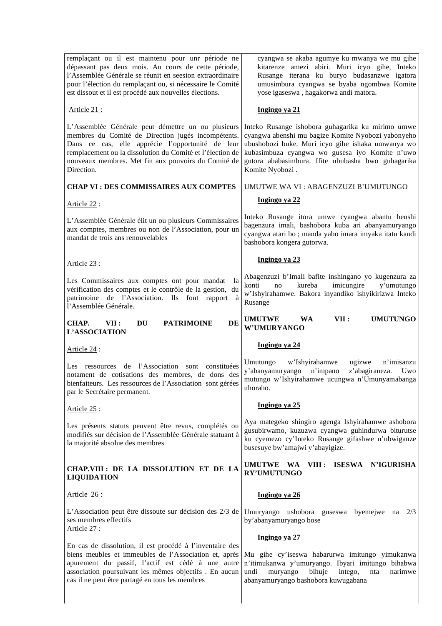| remplaçant ou il est maintenu pour unr période ne<br>dépassant pas deux mois. Au cours de cette période,<br>l'Assemblée Générale se réunit en seesion extraordinaire<br>pour l'élection du remplaçant ou, si nécessaire le Comité<br>est dissout et il est procédé aux nouvelles élections.    | cyangwa se akaba agumye ku mwanya we mu gihe<br>kitarenze amezi abiri. Muri icyo gihe, Inteko<br>Rusange iterana ku buryo budasanzwe igatora<br>umusimbura cyangwa se byaba ngombwa Komite<br>yose igaseswa, hagakorwa andi matora.                                                     |
|------------------------------------------------------------------------------------------------------------------------------------------------------------------------------------------------------------------------------------------------------------------------------------------------|-----------------------------------------------------------------------------------------------------------------------------------------------------------------------------------------------------------------------------------------------------------------------------------------|
| Article 21:                                                                                                                                                                                                                                                                                    | Ingingo ya 21                                                                                                                                                                                                                                                                           |
| L'Assemblée Générale peut démettre un ou plusieurs<br>membres du Comité de Direction jugés incompétents.<br>Dans ce cas, elle apprécie l'opportunité de leur<br>remplacement ou la dissolution du Comité et l'élection de<br>nouveaux membres. Met fin aux pouvoirs du Comité de<br>Direction. | Inteko Rusange ishobora guhagarika ku mirimo umwe<br>cyangwa abenshi mu bagize Komite Nyobozi yabonyeho<br>ubushobozi buke. Muri icyo gihe ishaka umwanya wo<br>kubasimbuza cyangwa wo gusesa iyo Komite n'uwo<br>gutora ababasimbura. Ifite ububasha bwo guhagarika<br>Komite Nyobozi. |
| <b>CHAP VI : DES COMMISSAIRES AUX COMPTES</b>                                                                                                                                                                                                                                                  | UMUTWE WA VI : ABAGENZUZI B'UMUTUNGO                                                                                                                                                                                                                                                    |
| Article 22 :                                                                                                                                                                                                                                                                                   | Ingingo ya 22                                                                                                                                                                                                                                                                           |
| L'Assemblée Générale élit un ou plusieurs Commissaires<br>aux comptes, membres ou non de l'Association, pour un<br>mandat de trois ans renouvelables                                                                                                                                           | Inteko Rusange itora umwe cyangwa abantu benshi<br>bagenzura imali, bashobora kuba ari abanyamuryango<br>cyangwa atari bo ; manda yabo imara imyaka itatu kandi<br>bashobora kongera gutorwa.                                                                                           |
| Article 23 :                                                                                                                                                                                                                                                                                   | Ingingo ya 23                                                                                                                                                                                                                                                                           |
| Les Commissaires aux comptes ont pour mandat<br>la<br>vérification des comptes et le contrôle de la gestion, du<br>patrimoine de l'Association. Ils font rapport à<br>l'Assemblée Générale.                                                                                                    | Abagenzuzi b'Imali bafite inshingano yo kugenzura za<br>kureba<br>imicungire<br>y'umutungo<br>konti<br>no<br>w'Ishyirahamwe. Bakora inyandiko ishyikirizwa Inteko<br>Rusange                                                                                                            |
| CHAP.<br><b>PATRIMOINE</b><br>DE<br>VII :<br>DU<br>L'ASSOCIATION                                                                                                                                                                                                                               | VII:<br><b>UMUTWE</b><br><b>UMUTUNGO</b><br><b>WA</b><br><b>W'UMURYANGO</b>                                                                                                                                                                                                             |
| Article 24 :                                                                                                                                                                                                                                                                                   | Ingingo ya 24                                                                                                                                                                                                                                                                           |
| de l'Association sont constituées<br>Les ressources<br>notament de cotisations des membres, de dons des<br>bienfaiteurs. Les ressources de l'Association sont gérées<br>par le Secrétaire permanent.                                                                                           | w'Ishyirahamwe<br>n'imisanzu<br>Umutungo<br>ugizwe<br>y'abanyamuryango<br>n'impano<br>z'abagiraneza.<br>Uwo<br>mutungo w'Ishyirahamwe ucungwa n'Umunyamabanga<br>uhoraho.                                                                                                               |
| Article 25 :                                                                                                                                                                                                                                                                                   | Ingingo ya 25                                                                                                                                                                                                                                                                           |
| Les présents statuts peuvent être revus, complétés ou<br>modifiés sur décision de l'Assemblée Générale statuant à<br>la majorité absolue des membres                                                                                                                                           | Aya mategeko shingiro agenga Ishyirahamwe ashobora<br>gusubirwamo, kuzuzwa cyangwa guhindurwa biturutse<br>ku cyemezo cy'Inteko Rusange gifashwe n'ubwiganze<br>busesuye bw'amajwi y'abayigize.                                                                                         |
| CHAP.VIII : DE LA DISSOLUTION ET DE LA<br><b>LIQUIDATION</b>                                                                                                                                                                                                                                   | UMUTWE WA VIII: ISESWA N'IGURISHA<br><b>RY'UMUTUNGO</b>                                                                                                                                                                                                                                 |
| Article 26:                                                                                                                                                                                                                                                                                    | Ingingo ya 26                                                                                                                                                                                                                                                                           |
| L'Association peut être dissoute sur décision des 2/3 de<br>ses membres effectifs<br>Article 27:                                                                                                                                                                                               | Umuryango ushobora guseswa byemejwe na 2/3<br>by'abanyamuryango bose                                                                                                                                                                                                                    |
|                                                                                                                                                                                                                                                                                                | Ingingo ya 27                                                                                                                                                                                                                                                                           |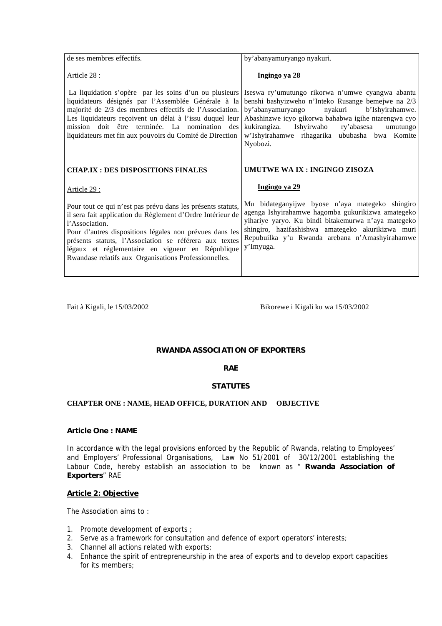| de ses membres effectifs.                                                                                                                                                                                                                                                                                                                         | by'abanyamuryango nyakuri.                                                                                                                                                                                                                                                                                                      |
|---------------------------------------------------------------------------------------------------------------------------------------------------------------------------------------------------------------------------------------------------------------------------------------------------------------------------------------------------|---------------------------------------------------------------------------------------------------------------------------------------------------------------------------------------------------------------------------------------------------------------------------------------------------------------------------------|
| Article 28 :                                                                                                                                                                                                                                                                                                                                      | Ingingo ya 28                                                                                                                                                                                                                                                                                                                   |
| La liquidation s'opère par les soins d'un ou plusieurs<br>liquidateurs désignés par l'Assemblée Générale à la<br>majorité de 2/3 des membres effectifs de l'Association.<br>Les liquidateurs reçoivent un délai à l'issu duquel leur<br>mission doit être terminée. La nomination des<br>liquidateurs met fin aux pouvoirs du Comité de Direction | Iseswa ry'umutungo rikorwa n'umwe cyangwa abantu<br>benshi bashyizweho n'Inteko Rusange bemejwe na 2/3<br>by'abanyamuryango<br>nyakuri<br>b'Ishyirahamwe.<br>Abashinzwe icyo gikorwa bahabwa igihe ntarengwa cyo<br>kukirangiza. Ishyirwaho ry'abasesa<br>umutungo<br>w'Ishyirahamwe rihagarika ububasha bwa Komite<br>Nyobozi. |
|                                                                                                                                                                                                                                                                                                                                                   |                                                                                                                                                                                                                                                                                                                                 |
| <b>CHAP.IX : DES DISPOSITIONS FINALES</b>                                                                                                                                                                                                                                                                                                         | UMUTWE WA IX : INGINGO ZISOZA                                                                                                                                                                                                                                                                                                   |
| <u>Article 29 :</u>                                                                                                                                                                                                                                                                                                                               | Ingingo ya 29                                                                                                                                                                                                                                                                                                                   |

Fait à Kigali, le 15/03/2002 Bikorewe i Kigali ku wa 15/03/2002

### **RWANDA ASSOCIATION OF EXPORTERS**

### **RAE**

### **STATUTES**

### **CHAPTER ONE : NAME, HEAD OFFICE, DURATION AND OBJECTIVE**

#### **Article One : NAME**

In accordance with the legal provisions enforced by the Republic of Rwanda, relating to Employees' and Employers' Professional Organisations, Law No 51/2001 of 30/12/2001 establishing the Labour Code, hereby establish an association to be known as " **Rwanda Association of Exporters**" RAE

#### **Article 2: Objective**

The Association aims to :

- 1. Promote development of exports ;
- 2. Serve as a framework for consultation and defence of export operators' interests;
- 3. Channel all actions related with exports;
- 4. Enhance the spirit of entrepreneurship in the area of exports and to develop export capacities for its members;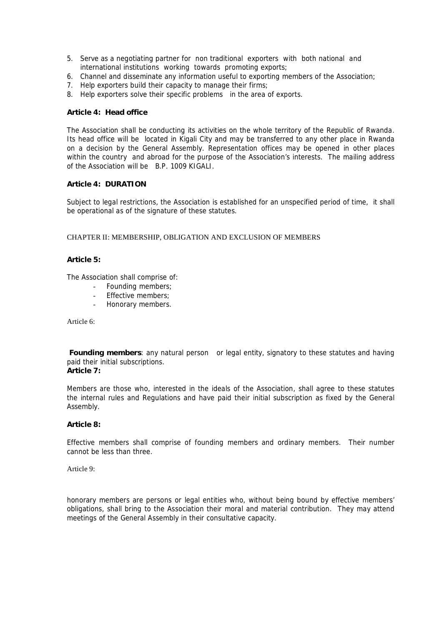- 5. Serve as a negotiating partner for non traditional exporters with both national and international institutions working towards promoting exports;
- 6. Channel and disseminate any information useful to exporting members of the Association;
- 7. Help exporters build their capacity to manage their firms;
- 8. Help exporters solve their specific problems in the area of exports.

#### **Article 4: Head office**

The Association shall be conducting its activities on the whole territory of the Republic of Rwanda. Its head office will be located in Kigali City and may be transferred to any other place in Rwanda on a decision by the General Assembly. Representation offices may be opened in other places within the country and abroad for the purpose of the Association's interests. The mailing address of the Association will be B.P. 1009 KIGALI.

### **Article 4: DURATION**

Subject to legal restrictions, the Association is established for an unspecified period of time, it shall be operational as of the signature of these statutes.

#### CHAPTER II: MEMBERSHIP, OBLIGATION AND EXCLUSION OF MEMBERS

#### **Article 5:**

The Association shall comprise of:

- Founding members;
- Effective members;
- Honorary members.

Article 6:

**Founding members**: any natural person or legal entity, signatory to these statutes and having paid their initial subscriptions.

**Article 7:** 

Members are those who, interested in the ideals of the Association, shall agree to these statutes the internal rules and Regulations and have paid their initial subscription as fixed by the General Assembly.

#### **Article 8:**

Effective members shall comprise of founding members and ordinary members. Their number cannot be less than three.

Article 9:

honorary members are persons or legal entities who, without being bound by effective members' obligations, shall bring to the Association their moral and material contribution. They may attend meetings of the General Assembly in their consultative capacity.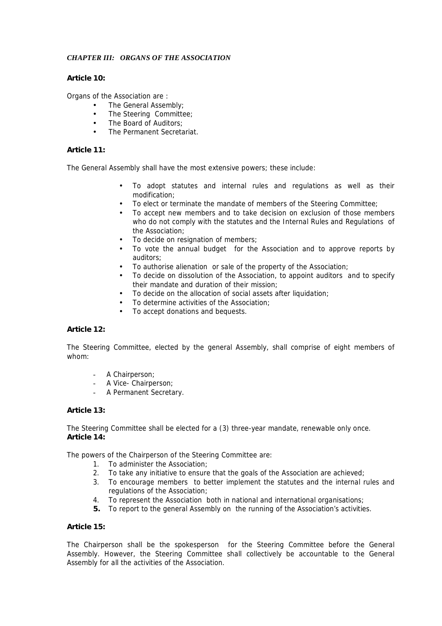### *CHAPTER III: ORGANS OF THE ASSOCIATION*

### **Article 10:**

Organs of the Association are :

- The General Assembly;
- The Steering Committee;
- The Board of Auditors:
- The Permanent Secretariat.

### **Article 11:**

The General Assembly shall have the most extensive powers; these include:

- To adopt statutes and internal rules and regulations as well as their modification;
- To elect or terminate the mandate of members of the Steering Committee;
- To accept new members and to take decision on exclusion of those members who do not comply with the statutes and the Internal Rules and Regulations of the Association;
- To decide on resignation of members;
- To vote the annual budget for the Association and to approve reports by auditors;
- To authorise alienation or sale of the property of the Association;<br>• To decide on dissolution of the Association to appoint auditors are
- To decide on dissolution of the Association, to appoint auditors and to specify their mandate and duration of their mission;
- To decide on the allocation of social assets after liquidation;
- To determine activities of the Association;
- To accept donations and bequests.

### **Article 12:**

The Steering Committee, elected by the general Assembly, shall comprise of eight members of whom:

- A Chairperson;
- A Vice- Chairperson;
- A Permanent Secretary.

#### **Article 13:**

The Steering Committee shall be elected for a (3) three-year mandate, renewable only once. **Article 14:** 

The powers of the Chairperson of the Steering Committee are:

- 1. To administer the Association;
- 2. To take any initiative to ensure that the goals of the Association are achieved;
- 3. To encourage members to better implement the statutes and the internal rules and regulations of the Association;
- 4. To represent the Association both in national and international organisations;
- **5.** To report to the general Assembly on the running of the Association's activities.

### **Article 15:**

The Chairperson shall be the spokesperson for the Steering Committee before the General Assembly. However, the Steering Committee shall collectively be accountable to the General Assembly for all the activities of the Association.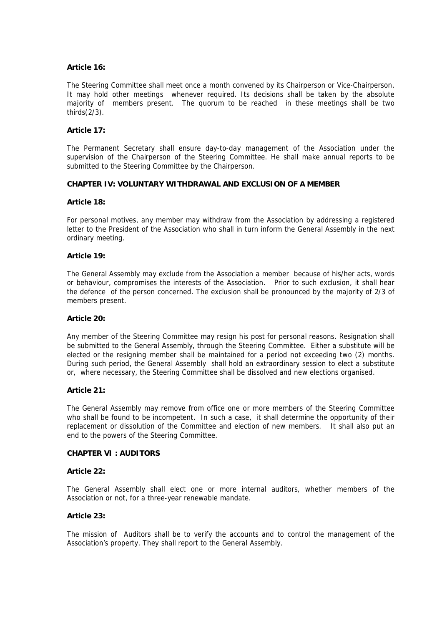#### **Article 16:**

The Steering Committee shall meet once a month convened by its Chairperson or Vice-Chairperson. It may hold other meetings whenever required. Its decisions shall be taken by the absolute majority of members present. The quorum to be reached in these meetings shall be two thirds(2/3).

#### **Article 17:**

The Permanent Secretary shall ensure day-to-day management of the Association under the supervision of the Chairperson of the Steering Committee. He shall make annual reports to be submitted to the Steering Committee by the Chairperson.

#### **CHAPTER IV: VOLUNTARY WITHDRAWAL AND EXCLUSION OF A MEMBER**

#### **Article 18:**

For personal motives, any member may withdraw from the Association by addressing a registered letter to the President of the Association who shall in turn inform the General Assembly in the next ordinary meeting.

#### **Article 19:**

The General Assembly may exclude from the Association a member because of his/her acts, words or behaviour, compromises the interests of the Association. Prior to such exclusion, it shall hear the defence of the person concerned. The exclusion shall be pronounced by the majority of 2/3 of members present.

#### **Article 20:**

Any member of the Steering Committee may resign his post for personal reasons. Resignation shall be submitted to the General Assembly, through the Steering Committee. Either a substitute will be elected or the resigning member shall be maintained for a period not exceeding two (2) months. During such period, the General Assembly shall hold an extraordinary session to elect a substitute or, where necessary, the Steering Committee shall be dissolved and new elections organised.

#### **Article 21:**

The General Assembly may remove from office one or more members of the Steering Committee who shall be found to be incompetent. In such a case, it shall determine the opportunity of their replacement or dissolution of the Committee and election of new members. It shall also put an end to the powers of the Steering Committee.

### **CHAPTER VI : AUDITORS**

#### **Article 22:**

The General Assembly shall elect one or more internal auditors, whether members of the Association or not, for a three-year renewable mandate.

### **Article 23:**

The mission of Auditors shall be to verify the accounts and to control the management of the Association's property. They shall report to the General Assembly.